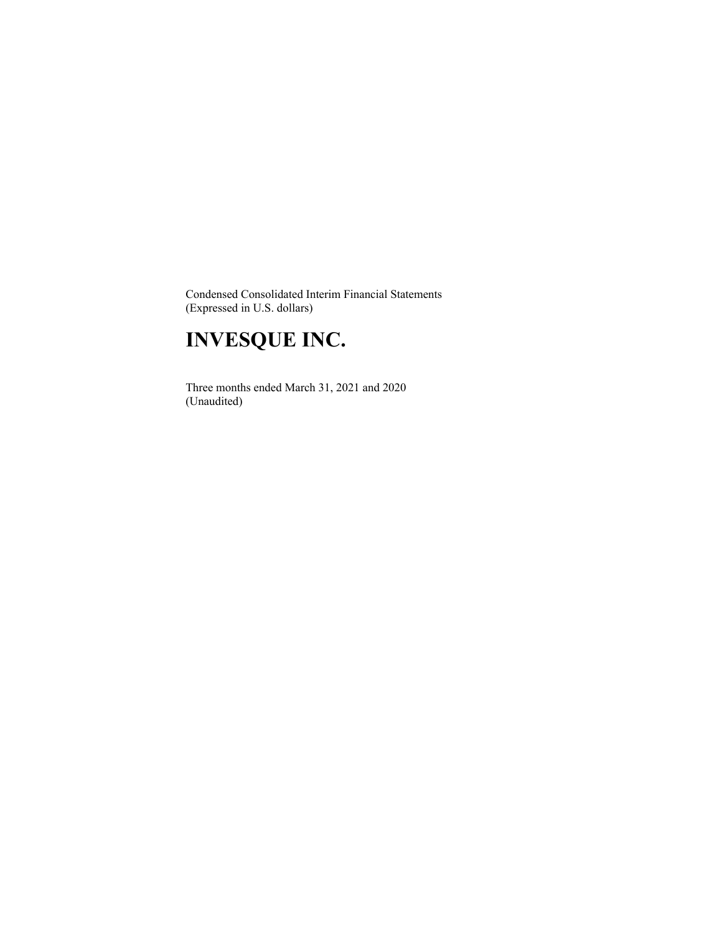Condensed Consolidated Interim Financial Statements (Expressed in U.S. dollars)

# **INVESQUE INC.**

 Three months ended March 31, 2021 and 2020 (Unaudited)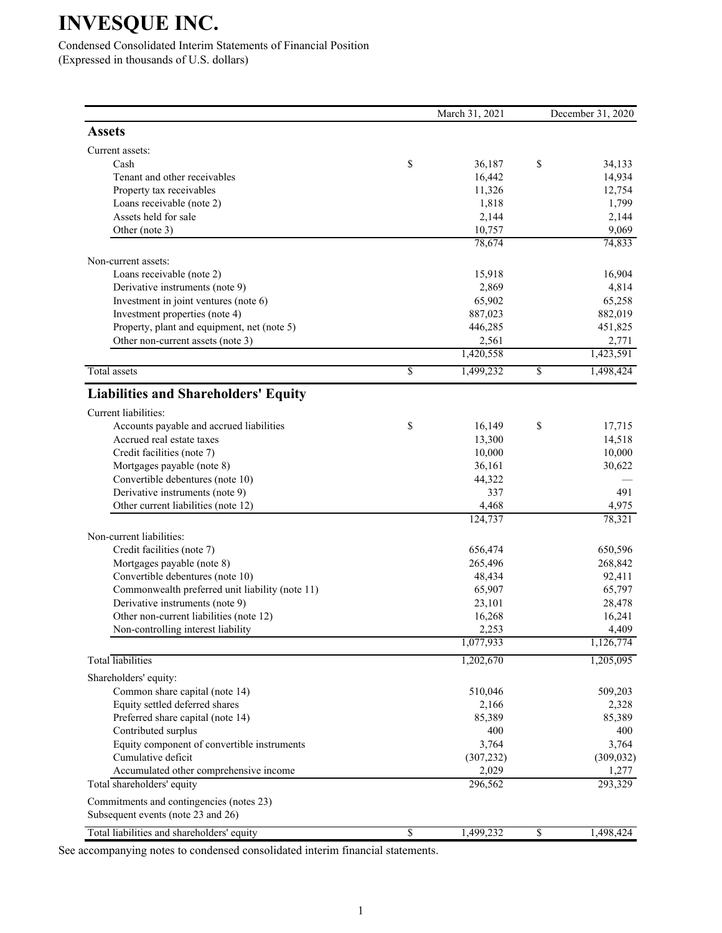Condensed Consolidated Interim Statements of Financial Position (Expressed in thousands of U.S. dollars)

|                                                 |                 | March 31, 2021 | December 31, 2020 |
|-------------------------------------------------|-----------------|----------------|-------------------|
| <b>Assets</b>                                   |                 |                |                   |
| Current assets:                                 |                 |                |                   |
| Cash                                            | \$              | 36,187         | \$<br>34,133      |
| Tenant and other receivables                    |                 | 16,442         | 14,934            |
| Property tax receivables                        |                 | 11,326         | 12,754            |
| Loans receivable (note 2)                       |                 | 1,818          | 1,799             |
| Assets held for sale                            |                 | 2,144          | 2,144             |
| Other (note 3)                                  |                 | 10,757         | 9,069             |
|                                                 |                 | 78,674         | 74,833            |
| Non-current assets:                             |                 |                |                   |
| Loans receivable (note 2)                       |                 | 15,918         | 16,904            |
| Derivative instruments (note 9)                 |                 | 2,869          | 4,814             |
| Investment in joint ventures (note 6)           |                 | 65,902         | 65,258            |
| Investment properties (note 4)                  |                 | 887,023        | 882,019           |
| Property, plant and equipment, net (note 5)     |                 | 446,285        | 451,825           |
| Other non-current assets (note 3)               |                 | 2,561          | 2,771             |
|                                                 |                 | 1,420,558      | 1,423,591         |
| <b>Total</b> assets                             | $\overline{\$}$ | 1,499,232      | \$<br>1,498,424   |
| <b>Liabilities and Shareholders' Equity</b>     |                 |                |                   |
| Current liabilities:                            |                 |                |                   |
| Accounts payable and accrued liabilities        | \$              | 16,149         | \$<br>17,715      |
| Accrued real estate taxes                       |                 | 13,300         | 14,518            |
| Credit facilities (note 7)                      |                 | 10,000         | 10,000            |
| Mortgages payable (note 8)                      |                 | 36,161         | 30,622            |
| Convertible debentures (note 10)                |                 | 44,322         |                   |
| Derivative instruments (note 9)                 |                 | 337            | 491               |
| Other current liabilities (note 12)             |                 | 4,468          | 4,975             |
|                                                 |                 | 124,737        | 78,321            |
| Non-current liabilities:                        |                 |                |                   |
| Credit facilities (note 7)                      |                 | 656,474        | 650,596           |
| Mortgages payable (note 8)                      |                 | 265,496        | 268,842           |
| Convertible debentures (note 10)                |                 | 48,434         | 92,411            |
| Commonwealth preferred unit liability (note 11) |                 | 65,907         | 65,797            |
| Derivative instruments (note 9)                 |                 | 23,101         | 28,478            |
| Other non-current liabilities (note 12)         |                 | 16,268         | 16,241            |
| Non-controlling interest liability              |                 | 2,253          | 4,409             |
|                                                 |                 | 1,077,933      | 1,126,774         |
| <b>Total</b> liabilities                        |                 | 1,202,670      | 1,205,095         |
| Shareholders' equity:                           |                 |                |                   |
| Common share capital (note 14)                  |                 | 510,046        | 509,203           |
| Equity settled deferred shares                  |                 | 2,166          | 2,328             |
| Preferred share capital (note 14)               |                 | 85,389         | 85,389            |
| Contributed surplus                             |                 | 400            | 400               |
| Equity component of convertible instruments     |                 | 3,764          | 3,764             |
| Cumulative deficit                              |                 | (307, 232)     | (309, 032)        |
| Accumulated other comprehensive income          |                 | 2,029          | 1,277             |
| Total shareholders' equity                      |                 | 296,562        | 293,329           |
| Commitments and contingencies (notes 23)        |                 |                |                   |
| Subsequent events (note 23 and 26)              |                 |                |                   |
| Total liabilities and shareholders' equity      | $\overline{\$}$ | 1,499,232      | \$<br>1,498,424   |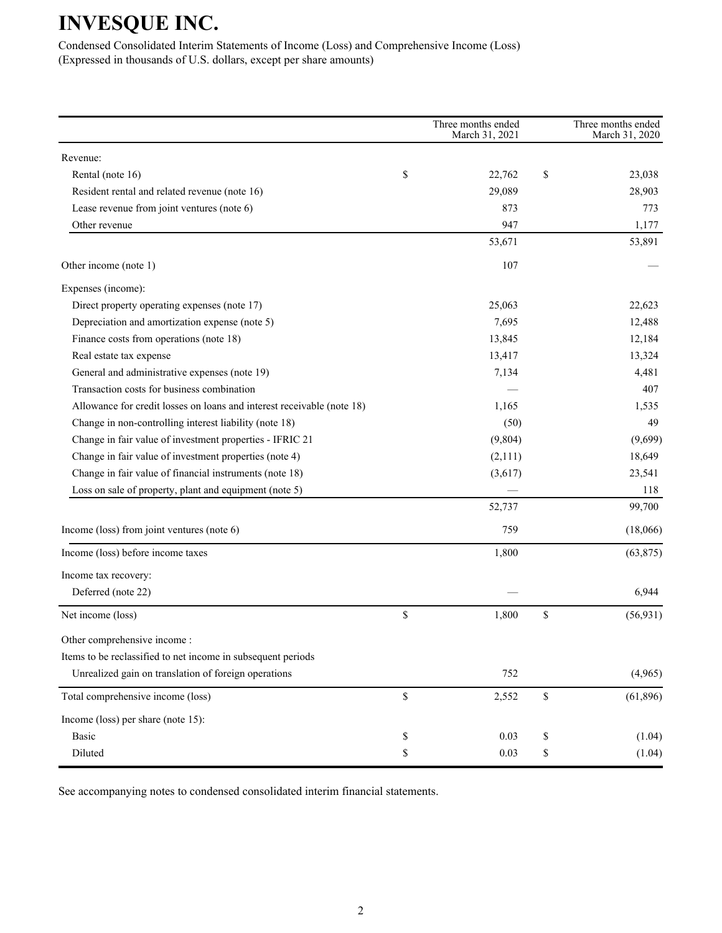Condensed Consolidated Interim Statements of Income (Loss) and Comprehensive Income (Loss) (Expressed in thousands of U.S. dollars, except per share amounts)

|                                                                        |             | Three months ended<br>March 31, 2021 | Three months ended<br>March 31, 2020 |
|------------------------------------------------------------------------|-------------|--------------------------------------|--------------------------------------|
| Revenue:                                                               |             |                                      |                                      |
| Rental (note 16)                                                       | \$          | 22,762                               | \$<br>23,038                         |
| Resident rental and related revenue (note 16)                          |             | 29,089                               | 28,903                               |
| Lease revenue from joint ventures (note 6)                             |             | 873                                  | 773                                  |
| Other revenue                                                          |             | 947                                  | 1,177                                |
|                                                                        |             | 53,671                               | 53,891                               |
| Other income (note 1)                                                  |             | 107                                  |                                      |
| Expenses (income):                                                     |             |                                      |                                      |
| Direct property operating expenses (note 17)                           |             | 25,063                               | 22,623                               |
| Depreciation and amortization expense (note 5)                         |             | 7,695                                | 12,488                               |
| Finance costs from operations (note 18)                                |             | 13,845                               | 12,184                               |
| Real estate tax expense                                                |             | 13,417                               | 13,324                               |
| General and administrative expenses (note 19)                          |             | 7,134                                | 4,481                                |
| Transaction costs for business combination                             |             |                                      | 407                                  |
| Allowance for credit losses on loans and interest receivable (note 18) |             | 1,165                                | 1,535                                |
| Change in non-controlling interest liability (note 18)                 |             | (50)                                 | 49                                   |
| Change in fair value of investment properties - IFRIC 21               |             | (9,804)                              | (9,699)                              |
| Change in fair value of investment properties (note 4)                 |             | (2,111)                              | 18,649                               |
| Change in fair value of financial instruments (note 18)                |             | (3,617)                              | 23,541                               |
| Loss on sale of property, plant and equipment (note 5)                 |             |                                      | 118                                  |
|                                                                        |             | 52,737                               | 99,700                               |
| Income (loss) from joint ventures (note 6)                             |             | 759                                  | (18,066)                             |
| Income (loss) before income taxes                                      |             | 1,800                                | (63, 875)                            |
| Income tax recovery:                                                   |             |                                      |                                      |
| Deferred (note 22)                                                     |             |                                      | 6,944                                |
| Net income (loss)                                                      | $\$$        | 1,800                                | \$<br>(56, 931)                      |
| Other comprehensive income:                                            |             |                                      |                                      |
| Items to be reclassified to net income in subsequent periods           |             |                                      |                                      |
| Unrealized gain on translation of foreign operations                   |             | 752                                  | (4,965)                              |
| Total comprehensive income (loss)                                      | $\mathbb S$ | 2,552                                | \$<br>(61, 896)                      |
| Income (loss) per share (note 15):                                     |             |                                      |                                      |
| <b>Basic</b>                                                           | \$          | 0.03                                 | \$<br>(1.04)                         |
| Diluted                                                                | \$          | 0.03                                 | \$<br>(1.04)                         |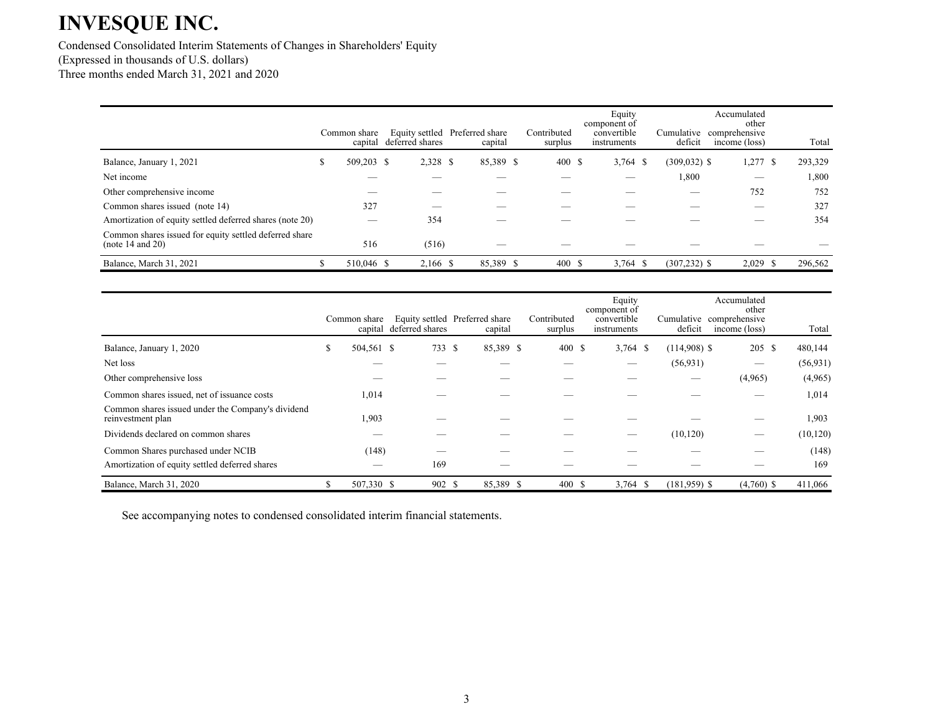Condensed Consolidated Interim Statements of Changes in Shareholders' Equity (Expressed in thousands of U.S. dollars) Three months ended March 31, 2021 and 2020

|                                                                            |   | Common share<br>capital | deferred shares | Equity settled Preferred share<br>capital | Contributed<br>surplus | Equity<br>component of<br>convertible<br>instruments | Cumulative<br>deficit | Accumulated<br>other<br>comprehensive<br>income (loss) | Total           |
|----------------------------------------------------------------------------|---|-------------------------|-----------------|-------------------------------------------|------------------------|------------------------------------------------------|-----------------------|--------------------------------------------------------|-----------------|
| Balance, January 1, 2021                                                   | ъ | 509,203 \$              | 2,328 \$        | 85,389 \$                                 | 400 \$                 | $3,764$ \$                                           | $(309, 032)$ \$       | 1,277                                                  | 293,329<br>- \$ |
| Net income                                                                 |   |                         |                 |                                           |                        |                                                      | 1,800                 | –                                                      | 1,800           |
| Other comprehensive income                                                 |   |                         |                 |                                           |                        |                                                      | –                     | 752                                                    | 752             |
| Common shares issued (note 14)                                             |   | 327                     | __              |                                           |                        |                                                      |                       |                                                        | 327             |
| Amortization of equity settled deferred shares (note 20)                   |   |                         | 354             |                                           |                        |                                                      |                       |                                                        | 354             |
| Common shares issued for equity settled deferred share<br>(note 14 and 20) |   | 516                     | (516)           |                                           |                        |                                                      |                       |                                                        |                 |
| Balance, March 31, 2021                                                    |   | 510,046 \$              | 2,166 \$        | 85,389 \$                                 | 400 \$                 | $3,764$ \$                                           | $(307, 232)$ \$       | $2,029$ \$                                             | 296,562         |

|                                                                        |    | Common share | capital deferred shares | Equity settled Preferred share<br>capital | Contributed<br>surplus | Equity<br>component of<br>convertible<br>instruments | deficit        | Accumulated<br>other<br>Cumulative comprehensive<br>income (loss) | Total     |
|------------------------------------------------------------------------|----|--------------|-------------------------|-------------------------------------------|------------------------|------------------------------------------------------|----------------|-------------------------------------------------------------------|-----------|
| Balance, January 1, 2020                                               | J. | 504,561 \$   | 733                     | <sup>\$</sup><br>85,389 \$                | 400S                   | $3,764$ \$                                           | $(114,908)$ \$ | 205 \$                                                            | 480,144   |
| Net loss                                                               |    |              |                         |                                           |                        |                                                      | (56, 931)      | —                                                                 | (56, 931) |
| Other comprehensive loss                                               |    |              |                         |                                           |                        |                                                      |                | (4,965)                                                           | (4,965)   |
| Common shares issued, net of issuance costs                            |    | 1,014        |                         |                                           |                        |                                                      |                |                                                                   | 1,014     |
| Common shares issued under the Company's dividend<br>reinvestment plan |    | 1,903        |                         |                                           |                        |                                                      |                |                                                                   | 1,903     |
| Dividends declared on common shares                                    |    |              |                         |                                           |                        | __                                                   | (10, 120)      | —                                                                 | (10, 120) |
| Common Shares purchased under NCIB                                     |    | (148)        |                         |                                           |                        |                                                      |                |                                                                   | (148)     |
| Amortization of equity settled deferred shares                         |    | __           | 169                     |                                           |                        |                                                      |                |                                                                   | 169       |
| Balance, March 31, 2020                                                | ъ  | 507,330 \$   | 902 \$                  | 85,389 \$                                 | 400 \$                 | $3,764$ \$                                           | $(181,959)$ \$ | $(4,760)$ \$                                                      | 411,066   |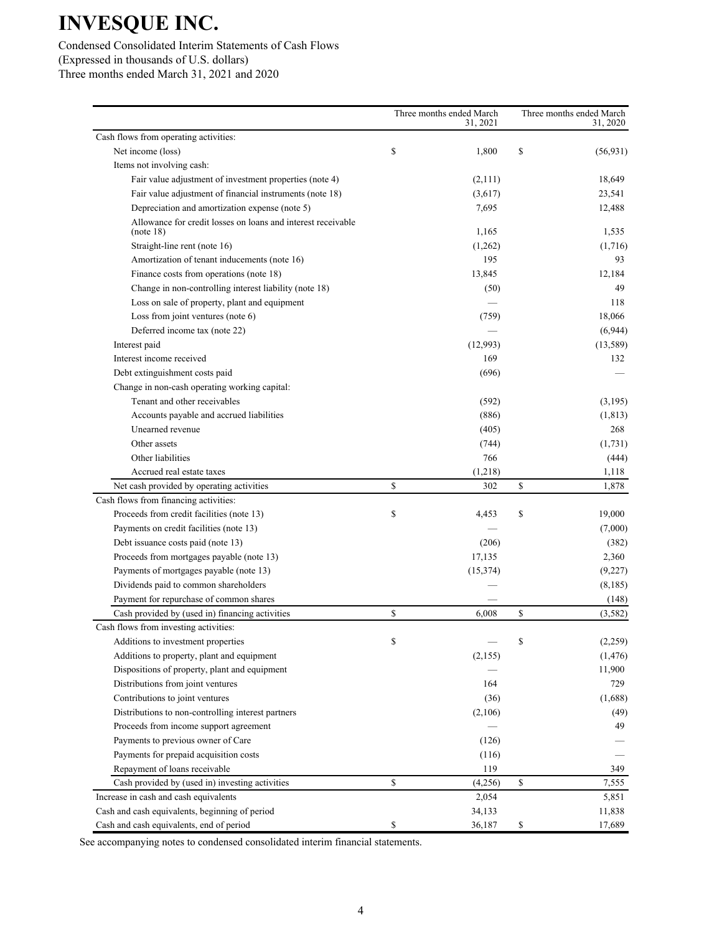### Condensed Consolidated Interim Statements of Cash Flows (Expressed in thousands of U.S. dollars)

Three months ended March 31, 2021 and 2020

|                                                                           | Three months ended March<br>31, 2021 | Three months ended March<br>31, 2020 |
|---------------------------------------------------------------------------|--------------------------------------|--------------------------------------|
| Cash flows from operating activities:                                     |                                      |                                      |
| Net income (loss)                                                         | \$<br>1,800                          | \$<br>(56, 931)                      |
| Items not involving cash:                                                 |                                      |                                      |
| Fair value adjustment of investment properties (note 4)                   | (2,111)                              | 18,649                               |
| Fair value adjustment of financial instruments (note 18)                  | (3,617)                              | 23,541                               |
| Depreciation and amortization expense (note 5)                            | 7,695                                | 12,488                               |
| Allowance for credit losses on loans and interest receivable<br>(note 18) | 1,165                                | 1,535                                |
| Straight-line rent (note 16)                                              | (1,262)                              | (1,716)                              |
| Amortization of tenant inducements (note 16)                              | 195                                  | 93                                   |
| Finance costs from operations (note 18)                                   | 13,845                               | 12,184                               |
| Change in non-controlling interest liability (note 18)                    | (50)                                 | 49                                   |
| Loss on sale of property, plant and equipment                             |                                      | 118                                  |
| Loss from joint ventures (note 6)                                         | (759)                                | 18,066                               |
| Deferred income tax (note 22)                                             |                                      | (6,944)                              |
| Interest paid                                                             | (12,993)                             | (13,589)                             |
| Interest income received                                                  | 169                                  | 132                                  |
| Debt extinguishment costs paid                                            | (696)                                |                                      |
| Change in non-cash operating working capital:                             |                                      |                                      |
| Tenant and other receivables                                              | (592)                                | (3,195)                              |
| Accounts payable and accrued liabilities                                  | (886)                                | (1, 813)                             |
| Unearned revenue                                                          | (405)                                | 268                                  |
| Other assets                                                              | (744)                                | (1,731)                              |
| Other liabilities                                                         | 766                                  | (444)                                |
| Accrued real estate taxes                                                 | (1,218)                              | 1,118                                |
| Net cash provided by operating activities                                 | \$<br>302                            | \$<br>1,878                          |
| Cash flows from financing activities:                                     |                                      |                                      |
| Proceeds from credit facilities (note 13)                                 | \$<br>4,453                          | \$<br>19,000                         |
| Payments on credit facilities (note 13)                                   |                                      | (7,000)                              |
| Debt issuance costs paid (note 13)                                        | (206)                                | (382)                                |
| Proceeds from mortgages payable (note 13)                                 | 17,135                               | 2,360                                |
| Payments of mortgages payable (note 13)                                   | (15, 374)                            | (9,227)                              |
| Dividends paid to common shareholders                                     |                                      | (8,185)                              |
| Payment for repurchase of common shares                                   |                                      | (148)                                |
| Cash provided by (used in) financing activities                           | \$<br>6,008                          | \$<br>(3,582)                        |
| Cash flows from investing activities:                                     |                                      |                                      |
| Additions to investment properties                                        | \$                                   | \$<br>(2,259)                        |
| Additions to property, plant and equipment                                | (2,155)                              | (1, 476)                             |
| Dispositions of property, plant and equipment                             |                                      | 11,900                               |
| Distributions from joint ventures                                         | 164                                  | 729                                  |
| Contributions to joint ventures                                           | (36)                                 | (1,688)                              |
| Distributions to non-controlling interest partners                        | (2,106)                              | (49)                                 |
| Proceeds from income support agreement                                    |                                      | 49                                   |
| Payments to previous owner of Care                                        | (126)                                |                                      |
| Payments for prepaid acquisition costs                                    | (116)                                |                                      |
| Repayment of loans receivable                                             | 119                                  | 349                                  |
| Cash provided by (used in) investing activities                           | \$<br>(4,256)                        | \$<br>7,555                          |
| Increase in cash and cash equivalents                                     | 2,054                                | 5,851                                |
| Cash and cash equivalents, beginning of period                            | 34,133                               | 11,838                               |
| Cash and cash equivalents, end of period                                  | \$<br>36,187                         | \$<br>17,689                         |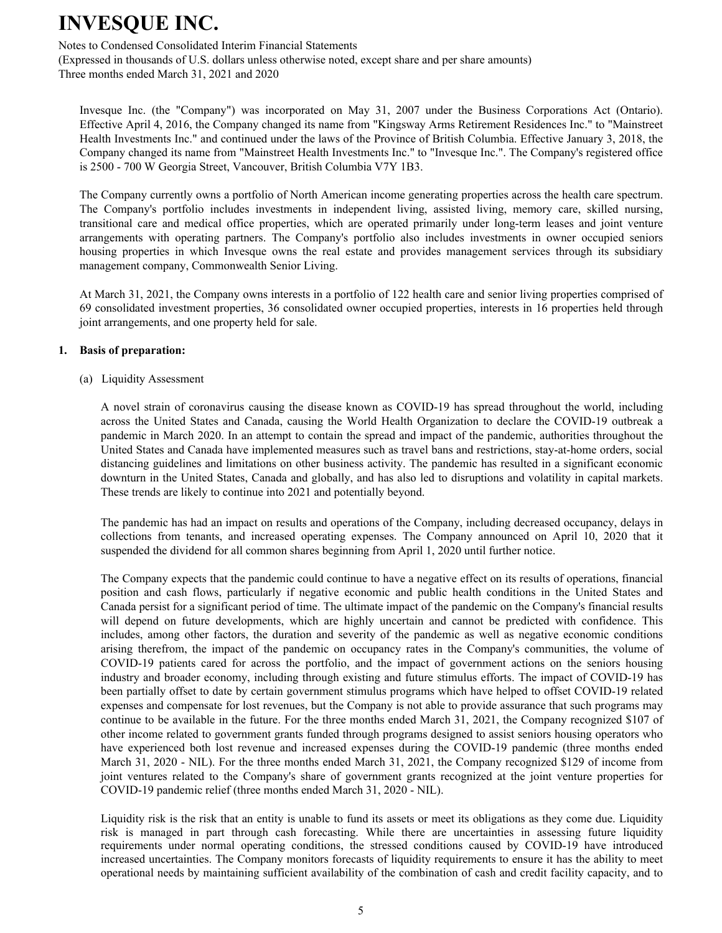Notes to Condensed Consolidated Interim Financial Statements

(Expressed in thousands of U.S. dollars unless otherwise noted, except share and per share amounts) Three months ended March 31, 2021 and 2020

Invesque Inc. (the "Company") was incorporated on May 31, 2007 under the Business Corporations Act (Ontario). Effective April 4, 2016, the Company changed its name from "Kingsway Arms Retirement Residences Inc." to "Mainstreet Health Investments Inc." and continued under the laws of the Province of British Columbia. Effective January 3, 2018, the Company changed its name from "Mainstreet Health Investments Inc." to "Invesque Inc.". The Company's registered office is 2500 - 700 W Georgia Street, Vancouver, British Columbia V7Y 1B3.

The Company currently owns a portfolio of North American income generating properties across the health care spectrum. The Company's portfolio includes investments in independent living, assisted living, memory care, skilled nursing, transitional care and medical office properties, which are operated primarily under long-term leases and joint venture arrangements with operating partners. The Company's portfolio also includes investments in owner occupied seniors housing properties in which Invesque owns the real estate and provides management services through its subsidiary management company, Commonwealth Senior Living.

At March 31, 2021, the Company owns interests in a portfolio of 122 health care and senior living properties comprised of 69 consolidated investment properties, 36 consolidated owner occupied properties, interests in 16 properties held through joint arrangements, and one property held for sale.

#### **1. Basis of preparation:**

(a) Liquidity Assessment

A novel strain of coronavirus causing the disease known as COVID-19 has spread throughout the world, including across the United States and Canada, causing the World Health Organization to declare the COVID-19 outbreak a pandemic in March 2020. In an attempt to contain the spread and impact of the pandemic, authorities throughout the United States and Canada have implemented measures such as travel bans and restrictions, stay-at-home orders, social distancing guidelines and limitations on other business activity. The pandemic has resulted in a significant economic downturn in the United States, Canada and globally, and has also led to disruptions and volatility in capital markets. These trends are likely to continue into 2021 and potentially beyond.

The pandemic has had an impact on results and operations of the Company, including decreased occupancy, delays in collections from tenants, and increased operating expenses. The Company announced on April 10, 2020 that it suspended the dividend for all common shares beginning from April 1, 2020 until further notice.

The Company expects that the pandemic could continue to have a negative effect on its results of operations, financial position and cash flows, particularly if negative economic and public health conditions in the United States and Canada persist for a significant period of time. The ultimate impact of the pandemic on the Company's financial results will depend on future developments, which are highly uncertain and cannot be predicted with confidence. This includes, among other factors, the duration and severity of the pandemic as well as negative economic conditions arising therefrom, the impact of the pandemic on occupancy rates in the Company's communities, the volume of COVID-19 patients cared for across the portfolio, and the impact of government actions on the seniors housing industry and broader economy, including through existing and future stimulus efforts. The impact of COVID-19 has been partially offset to date by certain government stimulus programs which have helped to offset COVID-19 related expenses and compensate for lost revenues, but the Company is not able to provide assurance that such programs may continue to be available in the future. For the three months ended March 31, 2021, the Company recognized \$107 of other income related to government grants funded through programs designed to assist seniors housing operators who have experienced both lost revenue and increased expenses during the COVID-19 pandemic (three months ended March 31, 2020 - NIL). For the three months ended March 31, 2021, the Company recognized \$129 of income from joint ventures related to the Company's share of government grants recognized at the joint venture properties for COVID-19 pandemic relief (three months ended March 31, 2020 - NIL).

Liquidity risk is the risk that an entity is unable to fund its assets or meet its obligations as they come due. Liquidity risk is managed in part through cash forecasting. While there are uncertainties in assessing future liquidity requirements under normal operating conditions, the stressed conditions caused by COVID-19 have introduced increased uncertainties. The Company monitors forecasts of liquidity requirements to ensure it has the ability to meet operational needs by maintaining sufficient availability of the combination of cash and credit facility capacity, and to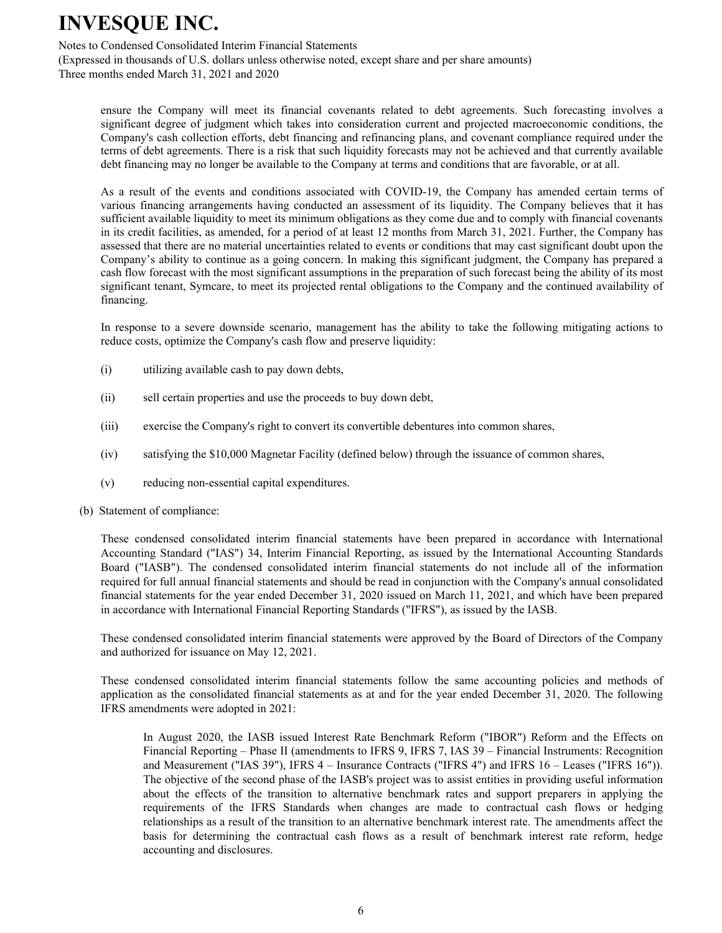Notes to Condensed Consolidated Interim Financial Statements

(Expressed in thousands of U.S. dollars unless otherwise noted, except share and per share amounts) Three months ended March 31, 2021 and 2020

ensure the Company will meet its financial covenants related to debt agreements. Such forecasting involves a significant degree of judgment which takes into consideration current and projected macroeconomic conditions, the Company's cash collection efforts, debt financing and refinancing plans, and covenant compliance required under the terms of debt agreements. There is a risk that such liquidity forecasts may not be achieved and that currently available debt financing may no longer be available to the Company at terms and conditions that are favorable, or at all.

As a result of the events and conditions associated with COVID-19, the Company has amended certain terms of various financing arrangements having conducted an assessment of its liquidity. The Company believes that it has sufficient available liquidity to meet its minimum obligations as they come due and to comply with financial covenants in its credit facilities, as amended, for a period of at least 12 months from March 31, 2021. Further, the Company has assessed that there are no material uncertainties related to events or conditions that may cast significant doubt upon the Company's ability to continue as a going concern. In making this significant judgment, the Company has prepared a cash flow forecast with the most significant assumptions in the preparation of such forecast being the ability of its most significant tenant, Symcare, to meet its projected rental obligations to the Company and the continued availability of financing.

In response to a severe downside scenario, management has the ability to take the following mitigating actions to reduce costs, optimize the Company's cash flow and preserve liquidity:

- (i) utilizing available cash to pay down debts,
- (ii) sell certain properties and use the proceeds to buy down debt,
- (iii) exercise the Company's right to convert its convertible debentures into common shares,
- (iv) satisfying the \$10,000 Magnetar Facility (defined below) through the issuance of common shares,
- (v) reducing non-essential capital expenditures.
- (b) Statement of compliance:

These condensed consolidated interim financial statements have been prepared in accordance with International Accounting Standard ("IAS") 34, Interim Financial Reporting, as issued by the International Accounting Standards Board ("IASB"). The condensed consolidated interim financial statements do not include all of the information required for full annual financial statements and should be read in conjunction with the Company's annual consolidated financial statements for the year ended December 31, 2020 issued on March 11, 2021, and which have been prepared in accordance with International Financial Reporting Standards ("IFRS"), as issued by the IASB.

These condensed consolidated interim financial statements were approved by the Board of Directors of the Company and authorized for issuance on May 12, 2021.

These condensed consolidated interim financial statements follow the same accounting policies and methods of application as the consolidated financial statements as at and for the year ended December 31, 2020. The following IFRS amendments were adopted in 2021:

In August 2020, the IASB issued Interest Rate Benchmark Reform ("IBOR") Reform and the Effects on Financial Reporting – Phase II (amendments to IFRS 9, IFRS 7, IAS 39 – Financial Instruments: Recognition and Measurement ("IAS 39"), IFRS 4 – Insurance Contracts ("IFRS 4") and IFRS 16 – Leases ("IFRS 16")). The objective of the second phase of the IASB's project was to assist entities in providing useful information about the effects of the transition to alternative benchmark rates and support preparers in applying the requirements of the IFRS Standards when changes are made to contractual cash flows or hedging relationships as a result of the transition to an alternative benchmark interest rate. The amendments affect the basis for determining the contractual cash flows as a result of benchmark interest rate reform, hedge accounting and disclosures.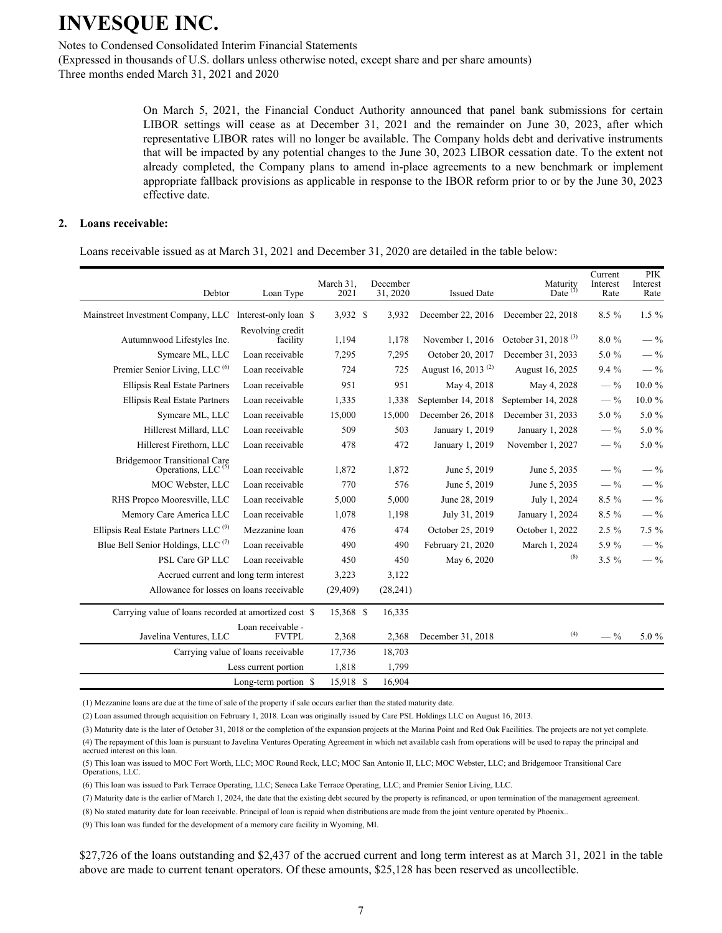Notes to Condensed Consolidated Interim Financial Statements

(Expressed in thousands of U.S. dollars unless otherwise noted, except share and per share amounts) Three months ended March 31, 2021 and 2020

> On March 5, 2021, the Financial Conduct Authority announced that panel bank submissions for certain LIBOR settings will cease as at December 31, 2021 and the remainder on June 30, 2023, after which representative LIBOR rates will no longer be available. The Company holds debt and derivative instruments that will be impacted by any potential changes to the June 30, 2023 LIBOR cessation date. To the extent not already completed, the Company plans to amend in-place agreements to a new benchmark or implement appropriate fallback provisions as applicable in response to the IBOR reform prior to or by the June 30, 2023 effective date.

#### **2. Loans receivable:**

Loans receivable issued as at March 31, 2021 and December 31, 2020 are detailed in the table below:

| Debtor                                                                | Loan Type                          | March 31,<br>2021 | December<br>31, 2020 | <b>Issued Date</b>             | Maturity<br>Date $(1)$          | Current<br>Interest<br>Rate | <b>PIK</b><br>Interest<br>Rate |
|-----------------------------------------------------------------------|------------------------------------|-------------------|----------------------|--------------------------------|---------------------------------|-----------------------------|--------------------------------|
| Mainstreet Investment Company, LLC                                    | Interest-only loan \$              | 3,932 \$          | 3,932                | December 22, 2016              | December 22, 2018               | 8.5 %                       | $1.5\%$                        |
| Autumnwood Lifestyles Inc.                                            | Revolving credit<br>facility       | 1,194             | 1,178                | November 1, 2016               | October 31, 2018 <sup>(3)</sup> | 8.0%                        | $-$ %                          |
| Symcare ML, LLC                                                       | Loan receivable                    | 7,295             | 7,295                | October 20, 2017               | December 31, 2033               | 5.0 %                       | $-$ %                          |
| Premier Senior Living, LLC <sup>(6)</sup>                             | Loan receivable                    | 724               | 725                  | August 16, 2013 <sup>(2)</sup> | August 16, 2025                 | 9.4%                        | $-$ %                          |
| <b>Ellipsis Real Estate Partners</b>                                  | Loan receivable                    | 951               | 951                  | May 4, 2018                    | May 4, 2028                     | $-$ %                       | $10.0 \%$                      |
| <b>Ellipsis Real Estate Partners</b>                                  | Loan receivable                    | 1,335             | 1,338                | September 14, 2018             | September 14, 2028              | $-$ %                       | 10.0%                          |
| Symcare ML, LLC                                                       | Loan receivable                    | 15,000            | 15,000               | December 26, 2018              | December 31, 2033               | 5.0 %                       | 5.0 %                          |
| Hillcrest Millard, LLC                                                | Loan receivable                    | 509               | 503                  | January 1, 2019                | January 1, 2028                 | $-$ %                       | 5.0 %                          |
| Hillcrest Firethorn, LLC                                              | Loan receivable                    | 478               | 472                  | January 1, 2019                | November 1, 2027                | $-$ %                       | 5.0 %                          |
| <b>Bridgemoor Transitional Care</b><br>Operations, LLC <sup>(5)</sup> | Loan receivable                    | 1,872             | 1,872                | June 5, 2019                   | June 5, 2035                    | $-$ %                       | $-$ %                          |
| MOC Webster, LLC                                                      | Loan receivable                    | 770               | 576                  | June 5, 2019                   | June 5, 2035                    | $-$ %                       | $-$ %                          |
| RHS Propco Mooresville, LLC                                           | Loan receivable                    | 5,000             | 5,000                | June 28, 2019                  | July 1, 2024                    | $8.5\%$                     | $-$ %                          |
| Memory Care America LLC                                               | Loan receivable                    | 1,078             | 1,198                | July 31, 2019                  | January 1, 2024                 | $8.5\%$                     | $-$ %                          |
| Ellipsis Real Estate Partners LLC <sup>(9)</sup>                      | Mezzanine loan                     | 476               | 474                  | October 25, 2019               | October 1, 2022                 | $2.5\%$                     | $7.5 \%$                       |
| Blue Bell Senior Holdings, LLC <sup>(7)</sup>                         | Loan receivable                    | 490               | 490                  | February 21, 2020              | March 1, 2024                   | 5.9%                        | $-$ %                          |
| PSL Care GP LLC                                                       | Loan receivable                    | 450               | 450                  | May 6, 2020                    | (8)                             | $3.5 \%$                    | $-$ %                          |
| Accrued current and long term interest                                |                                    | 3,223             | 3,122                |                                |                                 |                             |                                |
| Allowance for losses on loans receivable                              |                                    | (29, 409)         | (28, 241)            |                                |                                 |                             |                                |
| Carrying value of loans recorded at amortized cost \$                 |                                    | 15,368 \$         | 16,335               |                                |                                 |                             |                                |
| Javelina Ventures, LLC                                                | Loan receivable -<br><b>FVTPL</b>  | 2,368             | 2,368                | December 31, 2018              | (4)                             | $-$ %                       | 5.0 %                          |
|                                                                       | Carrying value of loans receivable | 17,736            | 18,703               |                                |                                 |                             |                                |
|                                                                       | Less current portion               | 1,818             | 1,799                |                                |                                 |                             |                                |
|                                                                       | Long-term portion \$               | 15,918 \$         | 16,904               |                                |                                 |                             |                                |

(1) Mezzanine loans are due at the time of sale of the property if sale occurs earlier than the stated maturity date.

(2) Loan assumed through acquisition on February 1, 2018. Loan was originally issued by Care PSL Holdings LLC on August 16, 2013.

(3) Maturity date is the later of October 31, 2018 or the completion of the expansion projects at the Marina Point and Red Oak Facilities. The projects are not yet complete.

(4) The repayment of this loan is pursuant to Javelina Ventures Operating Agreement in which net available cash from operations will be used to repay the principal and accrued interest on this loan

(5) This loan was issued to MOC Fort Worth, LLC; MOC Round Rock, LLC; MOC San Antonio II, LLC; MOC Webster, LLC; and Bridgemoor Transitional Care Operations, LLC.

(6) This loan was issued to Park Terrace Operating, LLC; Seneca Lake Terrace Operating, LLC; and Premier Senior Living, LLC.

(7) Maturity date is the earlier of March 1, 2024, the date that the existing debt secured by the property is refinanced, or upon termination of the management agreement.

(8) No stated maturity date for loan receivable. Principal of loan is repaid when distributions are made from the joint venture operated by Phoenix..

(9) This loan was funded for the development of a memory care facility in Wyoming, MI.

\$27,726 of the loans outstanding and \$2,437 of the accrued current and long term interest as at March 31, 2021 in the table above are made to current tenant operators. Of these amounts, \$25,128 has been reserved as uncollectible.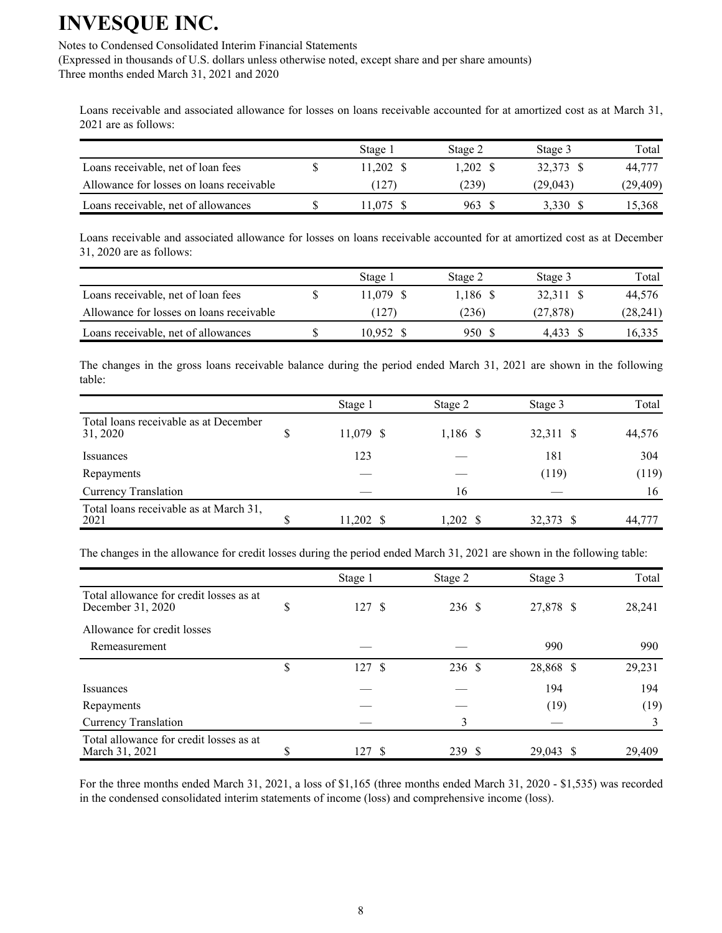Notes to Condensed Consolidated Interim Financial Statements

(Expressed in thousands of U.S. dollars unless otherwise noted, except share and per share amounts) Three months ended March 31, 2021 and 2020

Loans receivable and associated allowance for losses on loans receivable accounted for at amortized cost as at March 31, 2021 are as follows:

|                                          | Stage 1   | Stage 2  | Stage 3   | Total    |
|------------------------------------------|-----------|----------|-----------|----------|
| Loans receivable, net of loan fees       | 11.202 \$ | 1.202 \$ | 32.373 \$ | 44,777   |
| Allowance for losses on loans receivable | (127)     | (239)    | (29.043)  | (29,409) |
| Loans receivable, net of allowances      | 1.075     | 963 S    | 3.330     | 15.368   |

Loans receivable and associated allowance for losses on loans receivable accounted for at amortized cost as at December 31, 2020 are as follows:

|                                          | Stage 1   | Stage 2    | Stage 3  | Total     |
|------------------------------------------|-----------|------------|----------|-----------|
| Loans receivable, net of loan fees       | 11.079 \$ | $1.186$ \$ | 32.311 S | 44.576    |
| Allowance for losses on loans receivable | (127)     | (236)      | (27.878) | (28, 241) |
| Loans receivable, net of allowances      | 10.952 \$ | 950 S      | 4.433    | 16.335    |

The changes in the gross loans receivable balance during the period ended March 31, 2021 are shown in the following table:

|                                                   |    | Stage 1     | Stage 2             | Stage 3   | Total  |
|---------------------------------------------------|----|-------------|---------------------|-----------|--------|
| Total loans receivable as at December<br>31, 2020 | \$ | 11,079 \$   | 1,186 \$            | 32,311 \$ | 44,576 |
| Issuances                                         |    | 123         |                     | 181       | 304    |
| Repayments                                        |    |             |                     | (119)     | (119)  |
| <b>Currency Translation</b>                       |    |             | 16                  |           | 16     |
| Total loans receivable as at March 31,<br>2021    | S  | $11,202$ \$ | $1,202 \text{ }$ \$ | 32,373 \$ | 44,777 |

The changes in the allowance for credit losses during the period ended March 31, 2021 are shown in the following table:

|                                                              | Stage 1    | Stage 2 | Stage 3   | Total  |
|--------------------------------------------------------------|------------|---------|-----------|--------|
| Total allowance for credit losses as at<br>December 31, 2020 | \$<br>127S | 236 \$  | 27,878 \$ | 28,241 |
| Allowance for credit losses                                  |            |         |           |        |
| Remeasurement                                                |            |         | 990       | 990    |
|                                                              | \$<br>127S | 236 \$  | 28,868 \$ | 29,231 |
| <i>Issuances</i>                                             |            |         | 194       | 194    |
| Repayments                                                   |            |         | (19)      | (19)   |
| <b>Currency Translation</b>                                  |            | 3       |           |        |
| Total allowance for credit losses as at<br>March 31, 2021    | \$<br>127  | 239 \$  | 29,043 \$ | 29.409 |

For the three months ended March 31, 2021, a loss of \$1,165 (three months ended March 31, 2020 - \$1,535) was recorded in the condensed consolidated interim statements of income (loss) and comprehensive income (loss).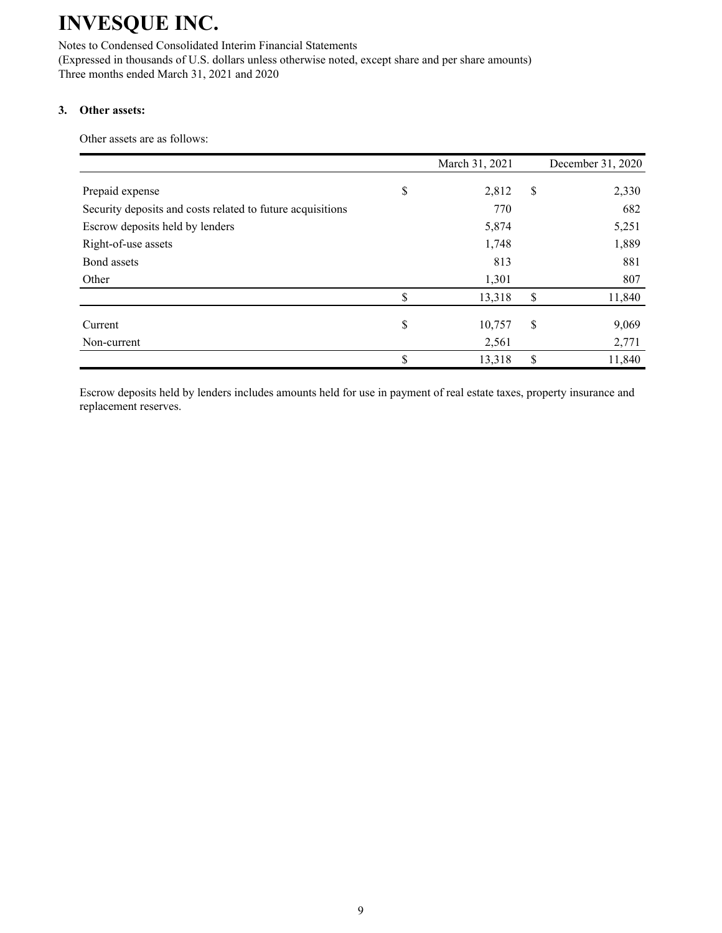Notes to Condensed Consolidated Interim Financial Statements (Expressed in thousands of U.S. dollars unless otherwise noted, except share and per share amounts)

Three months ended March 31, 2021 and 2020

### **3. Other assets:**

Other assets are as follows:

|                                                            | March 31, 2021 | December 31, 2020 |
|------------------------------------------------------------|----------------|-------------------|
| Prepaid expense                                            | \$<br>2,812    | \$<br>2,330       |
| Security deposits and costs related to future acquisitions | 770            | 682               |
| Escrow deposits held by lenders                            | 5,874          | 5,251             |
| Right-of-use assets                                        | 1,748          | 1,889             |
| Bond assets                                                | 813            | 881               |
| Other                                                      | 1,301          | 807               |
|                                                            | \$<br>13,318   | \$<br>11,840      |
| Current                                                    | \$<br>10,757   | \$<br>9,069       |
| Non-current                                                | 2,561          | 2,771             |
|                                                            | \$<br>13,318   | \$<br>11,840      |

Escrow deposits held by lenders includes amounts held for use in payment of real estate taxes, property insurance and replacement reserves.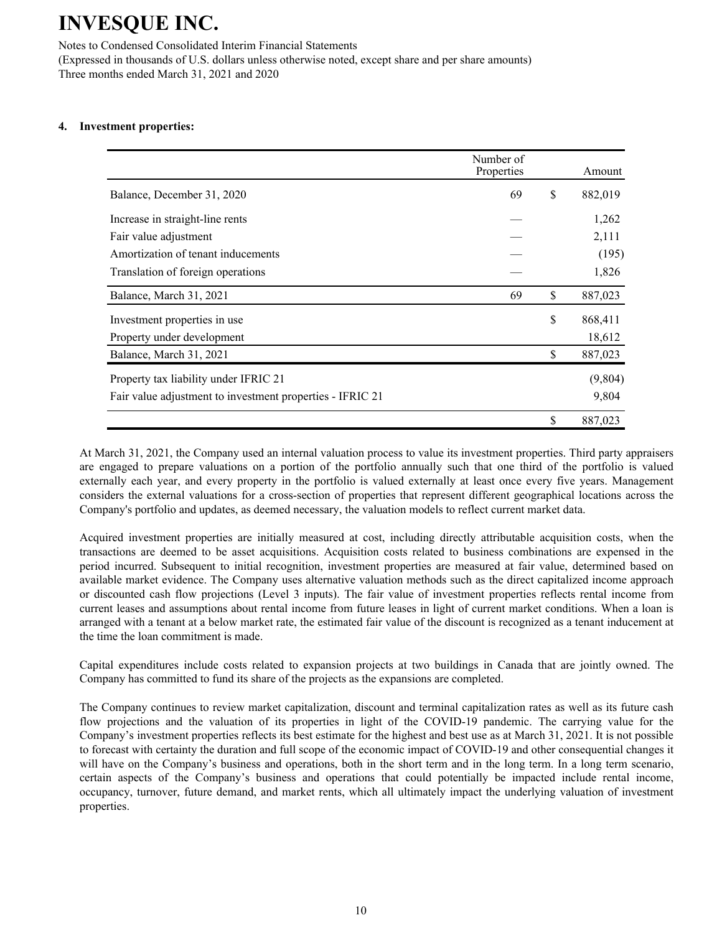Notes to Condensed Consolidated Interim Financial Statements

(Expressed in thousands of U.S. dollars unless otherwise noted, except share and per share amounts) Three months ended March 31, 2021 and 2020

#### **4. Investment properties:**

|                                                           | Number of<br>Properties | Amount        |
|-----------------------------------------------------------|-------------------------|---------------|
| Balance, December 31, 2020                                | 69                      | \$<br>882,019 |
| Increase in straight-line rents                           |                         | 1,262         |
| Fair value adjustment                                     |                         | 2,111         |
| Amortization of tenant inducements                        |                         | (195)         |
| Translation of foreign operations                         |                         | 1,826         |
| Balance, March 31, 2021                                   | 69                      | \$<br>887,023 |
| Investment properties in use.                             |                         | \$<br>868,411 |
| Property under development                                |                         | 18,612        |
| Balance, March 31, 2021                                   |                         | \$<br>887,023 |
| Property tax liability under IFRIC 21                     |                         | (9,804)       |
| Fair value adjustment to investment properties - IFRIC 21 |                         | 9,804         |
|                                                           |                         | \$<br>887,023 |

At March 31, 2021, the Company used an internal valuation process to value its investment properties. Third party appraisers are engaged to prepare valuations on a portion of the portfolio annually such that one third of the portfolio is valued externally each year, and every property in the portfolio is valued externally at least once every five years. Management considers the external valuations for a cross-section of properties that represent different geographical locations across the Company's portfolio and updates, as deemed necessary, the valuation models to reflect current market data.

Acquired investment properties are initially measured at cost, including directly attributable acquisition costs, when the transactions are deemed to be asset acquisitions. Acquisition costs related to business combinations are expensed in the period incurred. Subsequent to initial recognition, investment properties are measured at fair value, determined based on available market evidence. The Company uses alternative valuation methods such as the direct capitalized income approach or discounted cash flow projections (Level 3 inputs). The fair value of investment properties reflects rental income from current leases and assumptions about rental income from future leases in light of current market conditions. When a loan is arranged with a tenant at a below market rate, the estimated fair value of the discount is recognized as a tenant inducement at the time the loan commitment is made.

Capital expenditures include costs related to expansion projects at two buildings in Canada that are jointly owned. The Company has committed to fund its share of the projects as the expansions are completed.

The Company continues to review market capitalization, discount and terminal capitalization rates as well as its future cash flow projections and the valuation of its properties in light of the COVID-19 pandemic. The carrying value for the Company's investment properties reflects its best estimate for the highest and best use as at March 31, 2021. It is not possible to forecast with certainty the duration and full scope of the economic impact of COVID-19 and other consequential changes it will have on the Company's business and operations, both in the short term and in the long term. In a long term scenario, certain aspects of the Company's business and operations that could potentially be impacted include rental income, occupancy, turnover, future demand, and market rents, which all ultimately impact the underlying valuation of investment properties.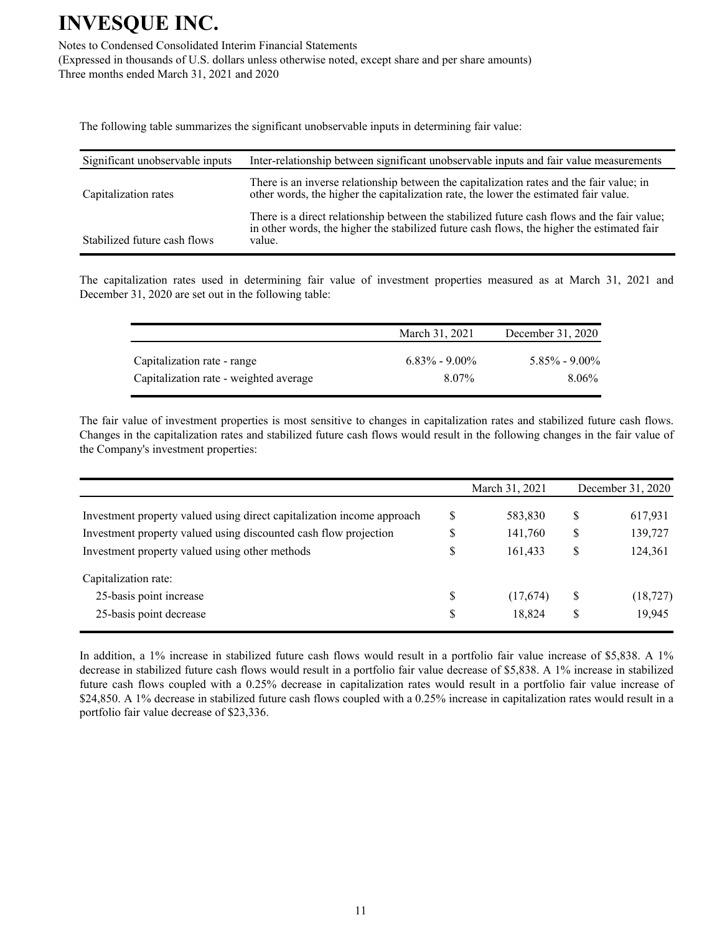Notes to Condensed Consolidated Interim Financial Statements

(Expressed in thousands of U.S. dollars unless otherwise noted, except share and per share amounts) Three months ended March 31, 2021 and 2020

The following table summarizes the significant unobservable inputs in determining fair value:

| Significant unobservable inputs | Inter-relationship between significant unobservable inputs and fair value measurements                                                                                                              |
|---------------------------------|-----------------------------------------------------------------------------------------------------------------------------------------------------------------------------------------------------|
| Capitalization rates            | There is an inverse relationship between the capitalization rates and the fair value; in<br>other words, the higher the capitalization rate, the lower the estimated fair value.                    |
| Stabilized future cash flows    | There is a direct relationship between the stabilized future cash flows and the fair value;<br>in other words, the higher the stabilized future cash flows, the higher the estimated fair<br>value. |

The capitalization rates used in determining fair value of investment properties measured as at March 31, 2021 and December 31, 2020 are set out in the following table:

|                                        | March 31, 2021    | December 31, 2020 |
|----------------------------------------|-------------------|-------------------|
| Capitalization rate - range            | $6.83\% - 9.00\%$ | $5.85\% - 9.00\%$ |
| Capitalization rate - weighted average | 8.07%             | 8.06%             |

The fair value of investment properties is most sensitive to changes in capitalization rates and stabilized future cash flows. Changes in the capitalization rates and stabilized future cash flows would result in the following changes in the fair value of the Company's investment properties:

|                                                                        |    | March 31, 2021 |    | December 31, 2020 |
|------------------------------------------------------------------------|----|----------------|----|-------------------|
| Investment property valued using direct capitalization income approach | S  | 583,830        | S  | 617,931           |
| Investment property valued using discounted cash flow projection       | S  | 141,760        | \$ | 139,727           |
| Investment property valued using other methods                         | S  | 161,433        | S  | 124,361           |
| Capitalization rate:                                                   |    |                |    |                   |
| 25-basis point increase                                                | \$ | (17,674)       | S  | (18, 727)         |
| 25-basis point decrease                                                | \$ | 18,824         | S  | 19,945            |

In addition, a 1% increase in stabilized future cash flows would result in a portfolio fair value increase of \$5,838. A 1% decrease in stabilized future cash flows would result in a portfolio fair value decrease of \$5,838. A 1% increase in stabilized future cash flows coupled with a 0.25% decrease in capitalization rates would result in a portfolio fair value increase of \$24,850. A 1% decrease in stabilized future cash flows coupled with a 0.25% increase in capitalization rates would result in a portfolio fair value decrease of \$23,336.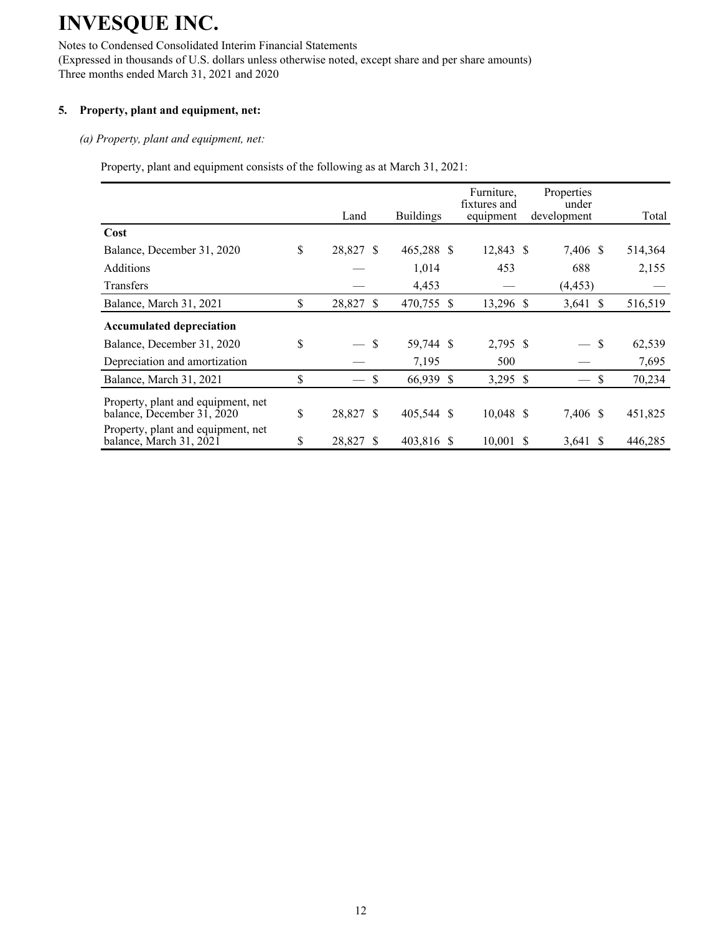Notes to Condensed Consolidated Interim Financial Statements

(Expressed in thousands of U.S. dollars unless otherwise noted, except share and per share amounts) Three months ended March 31, 2021 and 2020

### **5. Property, plant and equipment, net:**

#### *(a) Property, plant and equipment, net:*

Property, plant and equipment consists of the following as at March 31, 2021:

|                                                                  | Land            |    | <b>Buildings</b> | Furniture,<br>fixtures and<br>equipment | Properties<br>under<br>development |               | Total   |
|------------------------------------------------------------------|-----------------|----|------------------|-----------------------------------------|------------------------------------|---------------|---------|
| Cost                                                             |                 |    |                  |                                         |                                    |               |         |
| Balance, December 31, 2020                                       | \$<br>28,827 \$ |    | 465,288 \$       | 12,843 \$                               | 7,406 \$                           |               | 514,364 |
| <b>Additions</b>                                                 |                 |    | 1,014            | 453                                     | 688                                |               | 2,155   |
| <b>Transfers</b>                                                 |                 |    | 4,453            |                                         | (4, 453)                           |               |         |
| Balance, March 31, 2021                                          | \$<br>28,827    | \$ | 470,755 \$       | 13,296 \$                               | 3,641 $\sqrt{s}$                   |               | 516,519 |
| <b>Accumulated depreciation</b>                                  |                 |    |                  |                                         |                                    |               |         |
| Balance, December 31, 2020                                       | \$              | S  | 59,744 \$        | 2,795 \$                                | $\overline{\phantom{0}}$           | -S            | 62,539  |
| Depreciation and amortization                                    |                 |    | 7,195            | 500                                     |                                    |               | 7,695   |
| Balance, March 31, 2021                                          | \$<br>$-$ \$    |    | 66,939 \$        | 3,295 \$                                |                                    | <sup>\$</sup> | 70,234  |
| Property, plant and equipment, net<br>balance, December 31, 2020 | \$<br>28,827 \$ |    | 405,544 \$       | $10,048$ \$                             | 7,406 \$                           |               | 451,825 |
| Property, plant and equipment, net<br>balance, March 31, 2021    | \$<br>28,827    | S  | 403,816 \$       | $10,001$ \$                             | $3,641$ \$                         |               | 446,285 |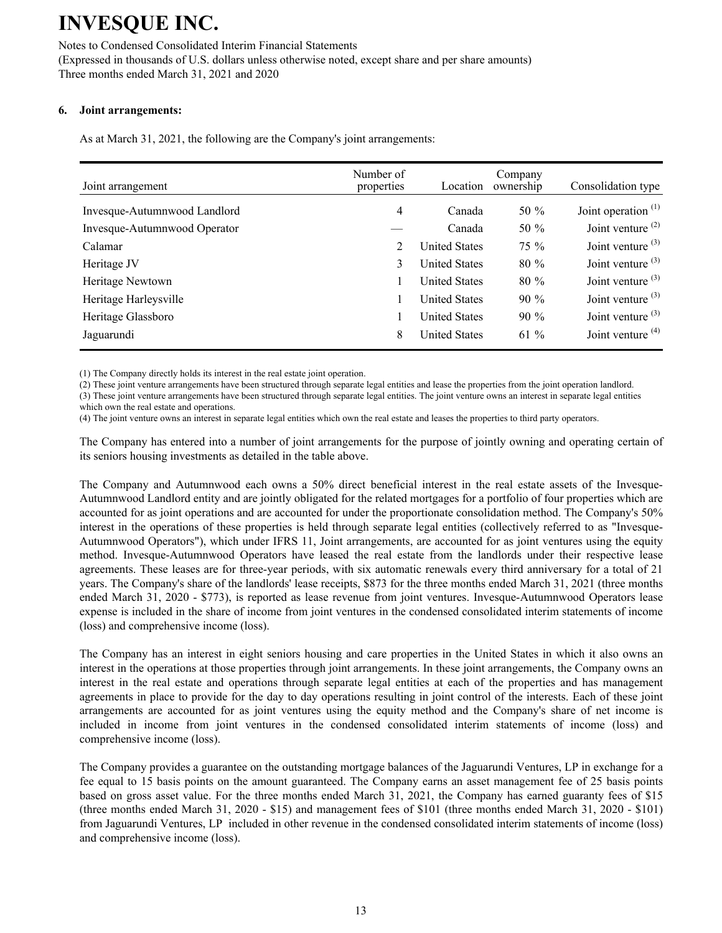#### Notes to Condensed Consolidated Interim Financial Statements

(Expressed in thousands of U.S. dollars unless otherwise noted, except share and per share amounts) Three months ended March 31, 2021 and 2020

#### **6. Joint arrangements:**

As at March 31, 2021, the following are the Company's joint arrangements:

| Joint arrangement            | Number of<br>properties | Location             | Company<br>ownership | Consolidation type    |
|------------------------------|-------------------------|----------------------|----------------------|-----------------------|
| Invesque-Autumnwood Landlord | 4                       | Canada               | 50 $%$               | Joint operation $(1)$ |
| Invesque-Autumnwood Operator |                         | Canada               | 50 %                 | Joint venture $(2)$   |
| Calamar                      | 2                       | <b>United States</b> | $75\%$               | Joint venture $(3)$   |
| Heritage JV                  | 3                       | <b>United States</b> | $80\%$               | Joint venture $(3)$   |
| Heritage Newtown             |                         | <b>United States</b> | $80\%$               | Joint venture $(3)$   |
| Heritage Harleysville        |                         | <b>United States</b> | $90\%$               | Joint venture $(3)$   |
| Heritage Glassboro           |                         | <b>United States</b> | $90\%$               | Joint venture $(3)$   |
| Jaguarundi                   | 8                       | <b>United States</b> | $61\%$               | Joint venture $(4)$   |

(1) The Company directly holds its interest in the real estate joint operation.

(2) These joint venture arrangements have been structured through separate legal entities and lease the properties from the joint operation landlord.

(3) These joint venture arrangements have been structured through separate legal entities. The joint venture owns an interest in separate legal entities which own the real estate and operations.

(4) The joint venture owns an interest in separate legal entities which own the real estate and leases the properties to third party operators.

The Company has entered into a number of joint arrangements for the purpose of jointly owning and operating certain of its seniors housing investments as detailed in the table above.

The Company and Autumnwood each owns a 50% direct beneficial interest in the real estate assets of the Invesque-Autumnwood Landlord entity and are jointly obligated for the related mortgages for a portfolio of four properties which are accounted for as joint operations and are accounted for under the proportionate consolidation method. The Company's 50% interest in the operations of these properties is held through separate legal entities (collectively referred to as "Invesque-Autumnwood Operators"), which under IFRS 11, Joint arrangements, are accounted for as joint ventures using the equity method. Invesque-Autumnwood Operators have leased the real estate from the landlords under their respective lease agreements. These leases are for three-year periods, with six automatic renewals every third anniversary for a total of 21 years. The Company's share of the landlords' lease receipts, \$873 for the three months ended March 31, 2021 (three months ended March 31, 2020 - \$773), is reported as lease revenue from joint ventures. Invesque-Autumnwood Operators lease expense is included in the share of income from joint ventures in the condensed consolidated interim statements of income (loss) and comprehensive income (loss).

The Company has an interest in eight seniors housing and care properties in the United States in which it also owns an interest in the operations at those properties through joint arrangements. In these joint arrangements, the Company owns an interest in the real estate and operations through separate legal entities at each of the properties and has management agreements in place to provide for the day to day operations resulting in joint control of the interests. Each of these joint arrangements are accounted for as joint ventures using the equity method and the Company's share of net income is included in income from joint ventures in the condensed consolidated interim statements of income (loss) and comprehensive income (loss).

The Company provides a guarantee on the outstanding mortgage balances of the Jaguarundi Ventures, LP in exchange for a fee equal to 15 basis points on the amount guaranteed. The Company earns an asset management fee of 25 basis points based on gross asset value. For the three months ended March 31, 2021, the Company has earned guaranty fees of \$15 (three months ended March 31, 2020 - \$15) and management fees of \$101 (three months ended March 31, 2020 - \$101) from Jaguarundi Ventures, LP included in other revenue in the condensed consolidated interim statements of income (loss) and comprehensive income (loss).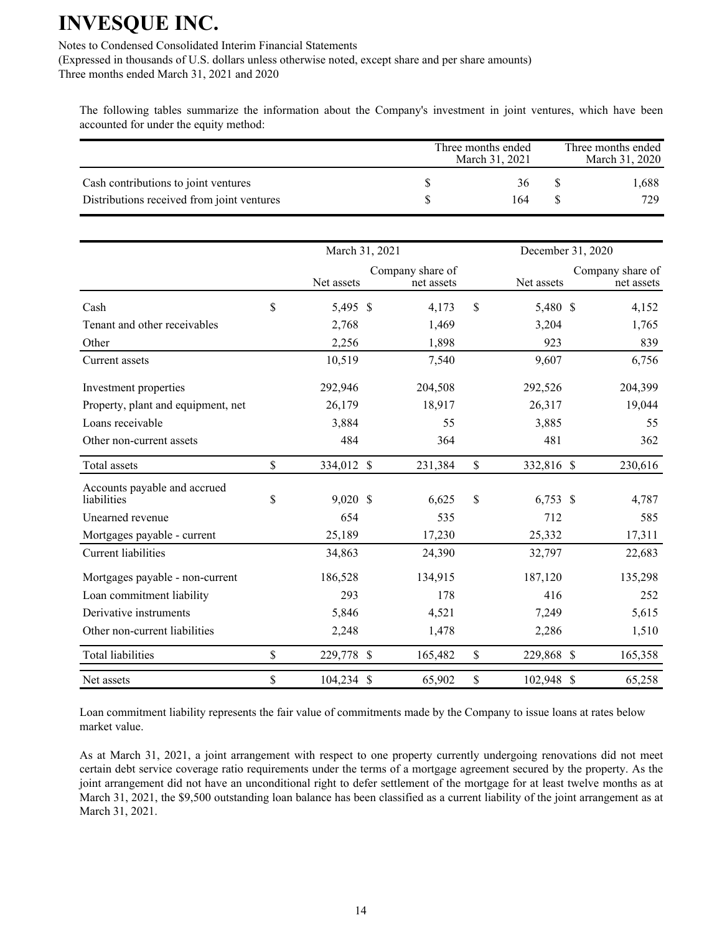Notes to Condensed Consolidated Interim Financial Statements

(Expressed in thousands of U.S. dollars unless otherwise noted, except share and per share amounts) Three months ended March 31, 2021 and 2020

The following tables summarize the information about the Company's investment in joint ventures, which have been accounted for under the equity method:

|                                                                                    | Three months ended<br>March 31, 2021 | Three months ended<br>March 31, 2020 |              |
|------------------------------------------------------------------------------------|--------------------------------------|--------------------------------------|--------------|
| Cash contributions to joint ventures<br>Distributions received from joint ventures |                                      | 36<br>164                            | 1.688<br>729 |

|                                             | March 31, 2021   |                                | December 31, 2020 |            |                                |
|---------------------------------------------|------------------|--------------------------------|-------------------|------------|--------------------------------|
|                                             | Net assets       | Company share of<br>net assets |                   | Net assets | Company share of<br>net assets |
| Cash                                        | \$<br>5,495 \$   | 4,173                          | \$                | 5,480 \$   | 4,152                          |
| Tenant and other receivables                | 2,768            | 1,469                          |                   | 3,204      | 1,765                          |
| Other                                       | 2,256            | 1,898                          |                   | 923        | 839                            |
| Current assets                              | 10,519           | 7,540                          |                   | 9,607      | 6,756                          |
| Investment properties                       | 292,946          | 204,508                        |                   | 292,526    | 204,399                        |
| Property, plant and equipment, net          | 26,179           | 18,917                         |                   | 26,317     | 19,044                         |
| Loans receivable                            | 3,884            | 55                             |                   | 3,885      | 55                             |
| Other non-current assets                    | 484              | 364                            |                   | 481        | 362                            |
| Total assets                                | \$<br>334,012 \$ | 231,384                        | \$                | 332,816 \$ | 230,616                        |
| Accounts payable and accrued<br>liabilities | \$<br>$9,020$ \$ | 6,625                          | \$                | $6,753$ \$ | 4,787                          |
| Unearned revenue                            | 654              | 535                            |                   | 712        | 585                            |
| Mortgages payable - current                 | 25,189           | 17,230                         |                   | 25,332     | 17,311                         |
| Current liabilities                         | 34,863           | 24,390                         |                   | 32,797     | 22,683                         |
| Mortgages payable - non-current             | 186,528          | 134,915                        |                   | 187,120    | 135,298                        |
| Loan commitment liability                   | 293              | 178                            |                   | 416        | 252                            |
| Derivative instruments                      | 5,846            | 4,521                          |                   | 7,249      | 5,615                          |
| Other non-current liabilities               | 2,248            | 1,478                          |                   | 2,286      | 1,510                          |
| <b>Total liabilities</b>                    | \$<br>229,778 \$ | 165,482                        | \$                | 229,868 \$ | 165,358                        |
| Net assets                                  | \$<br>104,234 \$ | 65,902                         | \$                | 102,948 \$ | 65,258                         |

Loan commitment liability represents the fair value of commitments made by the Company to issue loans at rates below market value.

As at March 31, 2021, a joint arrangement with respect to one property currently undergoing renovations did not meet certain debt service coverage ratio requirements under the terms of a mortgage agreement secured by the property. As the joint arrangement did not have an unconditional right to defer settlement of the mortgage for at least twelve months as at March 31, 2021, the \$9,500 outstanding loan balance has been classified as a current liability of the joint arrangement as at March 31, 2021.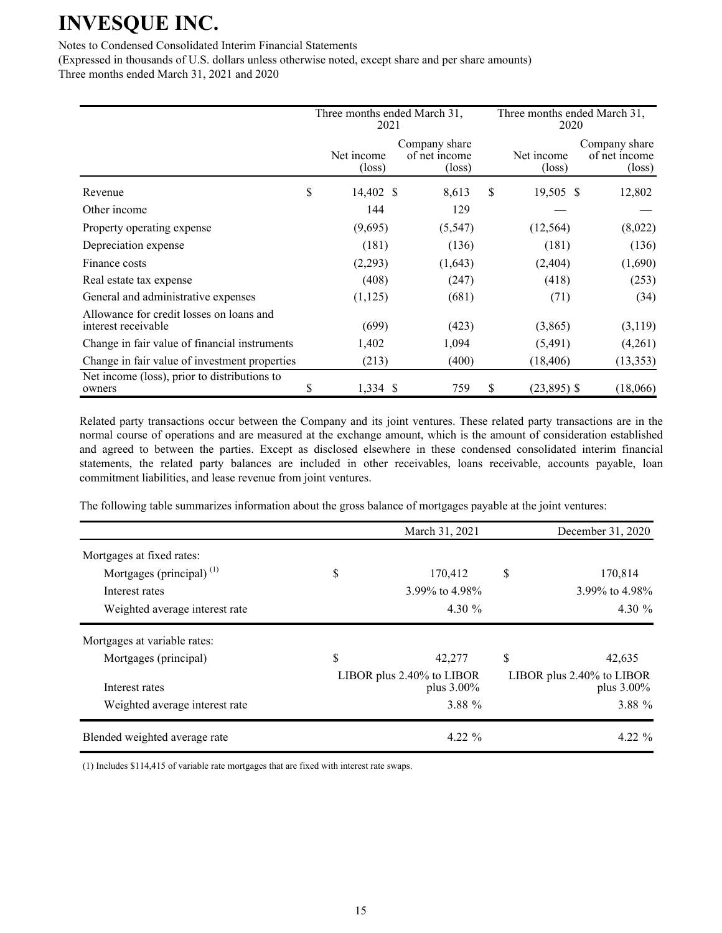#### Notes to Condensed Consolidated Interim Financial Statements

(Expressed in thousands of U.S. dollars unless otherwise noted, except share and per share amounts) Three months ended March 31, 2021 and 2020

|                                                                 | Three months ended March 31,<br>2021 |                                                   |    | Three months ended March 31,<br>2020 |                                                   |  |  |
|-----------------------------------------------------------------|--------------------------------------|---------------------------------------------------|----|--------------------------------------|---------------------------------------------------|--|--|
|                                                                 | Net income<br>$(\text{loss})$        | Company share<br>of net income<br>$(\text{loss})$ |    | Net income<br>$(\text{loss})$        | Company share<br>of net income<br>$(\text{loss})$ |  |  |
| Revenue                                                         | \$<br>14,402 \$                      | 8,613                                             | \$ | 19,505 \$                            | 12,802                                            |  |  |
| Other income                                                    | 144                                  | 129                                               |    |                                      |                                                   |  |  |
| Property operating expense                                      | (9,695)                              | (5, 547)                                          |    | (12, 564)                            | (8,022)                                           |  |  |
| Depreciation expense                                            | (181)                                | (136)                                             |    | (181)                                | (136)                                             |  |  |
| Finance costs                                                   | (2,293)                              | (1,643)                                           |    | (2,404)                              | (1,690)                                           |  |  |
| Real estate tax expense                                         | (408)                                | (247)                                             |    | (418)                                | (253)                                             |  |  |
| General and administrative expenses                             | (1, 125)                             | (681)                                             |    | (71)                                 | (34)                                              |  |  |
| Allowance for credit losses on loans and<br>interest receivable | (699)                                | (423)                                             |    | (3,865)                              | (3,119)                                           |  |  |
| Change in fair value of financial instruments                   | 1,402                                | 1,094                                             |    | (5, 491)                             | (4,261)                                           |  |  |
| Change in fair value of investment properties                   | (213)                                | (400)                                             |    | (18, 406)                            | (13, 353)                                         |  |  |
| Net income (loss), prior to distributions to<br>owners          | \$<br>$1,334$ \$                     | 759                                               | S  | $(23,895)$ \$                        | (18,066)                                          |  |  |

Related party transactions occur between the Company and its joint ventures. These related party transactions are in the normal course of operations and are measured at the exchange amount, which is the amount of consideration established and agreed to between the parties. Except as disclosed elsewhere in these condensed consolidated interim financial statements, the related party balances are included in other receivables, loans receivable, accounts payable, loan commitment liabilities, and lease revenue from joint ventures.

The following table summarizes information about the gross balance of mortgages payable at the joint ventures:

|                                | March 31, 2021                             | December 31, 2020                       |
|--------------------------------|--------------------------------------------|-----------------------------------------|
| Mortgages at fixed rates:      |                                            |                                         |
| Mortgages (principal) $(1)$    | \$<br>170,412                              | \$<br>170,814                           |
| Interest rates                 | 3.99% to 4.98%                             | 3.99% to 4.98%                          |
| Weighted average interest rate | 4.30 $\%$                                  | 4.30 $%$                                |
| Mortgages at variable rates:   |                                            |                                         |
| Mortgages (principal)          | \$<br>42,277                               | \$<br>42,635                            |
| Interest rates                 | LIBOR plus $2.40\%$ to LIBOR<br>plus 3.00% | LIBOR plus 2.40% to LIBOR<br>plus 3.00% |
| Weighted average interest rate | 3.88 %                                     | 3.88 %                                  |
| Blended weighted average rate  | $4.22 \%$                                  | $4.22\%$                                |

(1) Includes \$114,415 of variable rate mortgages that are fixed with interest rate swaps.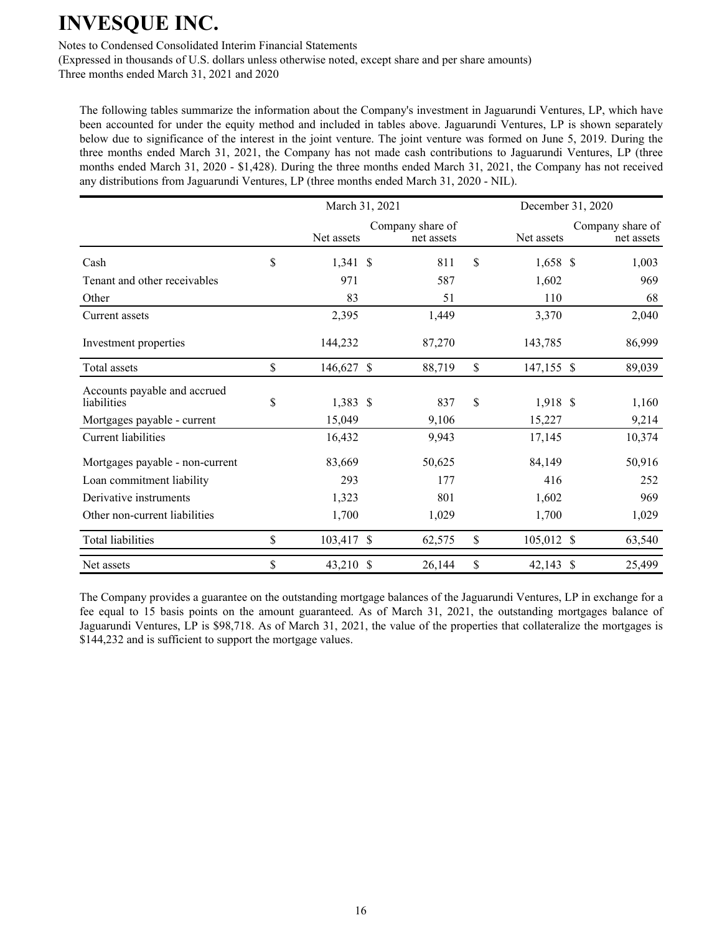Notes to Condensed Consolidated Interim Financial Statements

(Expressed in thousands of U.S. dollars unless otherwise noted, except share and per share amounts)

Three months ended March 31, 2021 and 2020

The following tables summarize the information about the Company's investment in Jaguarundi Ventures, LP, which have been accounted for under the equity method and included in tables above. Jaguarundi Ventures, LP is shown separately below due to significance of the interest in the joint venture. The joint venture was formed on June 5, 2019. During the three months ended March 31, 2021, the Company has not made cash contributions to Jaguarundi Ventures, LP (three months ended March 31, 2020 - \$1,428). During the three months ended March 31, 2021, the Company has not received any distributions from Jaguarundi Ventures, LP (three months ended March 31, 2020 - NIL).

|                                             | March 31, 2021            |                                |               |            | December 31, 2020 |                                |  |
|---------------------------------------------|---------------------------|--------------------------------|---------------|------------|-------------------|--------------------------------|--|
|                                             | Net assets                | Company share of<br>net assets |               | Net assets |                   | Company share of<br>net assets |  |
| Cash                                        | \$<br>$1,341 \text{ }$ \$ | 811                            | $\mathbf S$   | $1,658$ \$ |                   | 1,003                          |  |
| Tenant and other receivables                | 971                       | 587                            |               | 1,602      |                   | 969                            |  |
| Other                                       | 83                        | 51                             |               | 110        |                   | 68                             |  |
| Current assets                              | 2,395                     | 1,449                          |               | 3,370      |                   | 2,040                          |  |
| Investment properties                       | 144,232                   | 87,270                         |               | 143,785    |                   | 86,999                         |  |
| Total assets                                | \$<br>146,627 \$          | 88,719                         | \$            | 147,155 \$ |                   | 89,039                         |  |
| Accounts payable and accrued<br>liabilities | \$<br>$1,383$ \$          | 837                            | \$            | 1,918 \$   |                   | 1,160                          |  |
| Mortgages payable - current                 | 15,049                    | 9,106                          |               | 15,227     |                   | 9,214                          |  |
| Current liabilities                         | 16,432                    | 9,943                          |               | 17,145     |                   | 10,374                         |  |
| Mortgages payable - non-current             | 83,669                    | 50,625                         |               | 84,149     |                   | 50,916                         |  |
| Loan commitment liability                   | 293                       | 177                            |               | 416        |                   | 252                            |  |
| Derivative instruments                      | 1,323                     | 801                            |               | 1,602      |                   | 969                            |  |
| Other non-current liabilities               | 1,700                     | 1,029                          |               | 1,700      |                   | 1,029                          |  |
| Total liabilities                           | \$<br>103,417 \$          | 62,575                         | $\mathcal{S}$ | 105,012 \$ |                   | 63,540                         |  |
| Net assets                                  | \$<br>43,210 \$           | 26,144                         | \$            | 42,143 \$  |                   | 25,499                         |  |

The Company provides a guarantee on the outstanding mortgage balances of the Jaguarundi Ventures, LP in exchange for a fee equal to 15 basis points on the amount guaranteed. As of March 31, 2021, the outstanding mortgages balance of Jaguarundi Ventures, LP is \$98,718. As of March 31, 2021, the value of the properties that collateralize the mortgages is \$144,232 and is sufficient to support the mortgage values.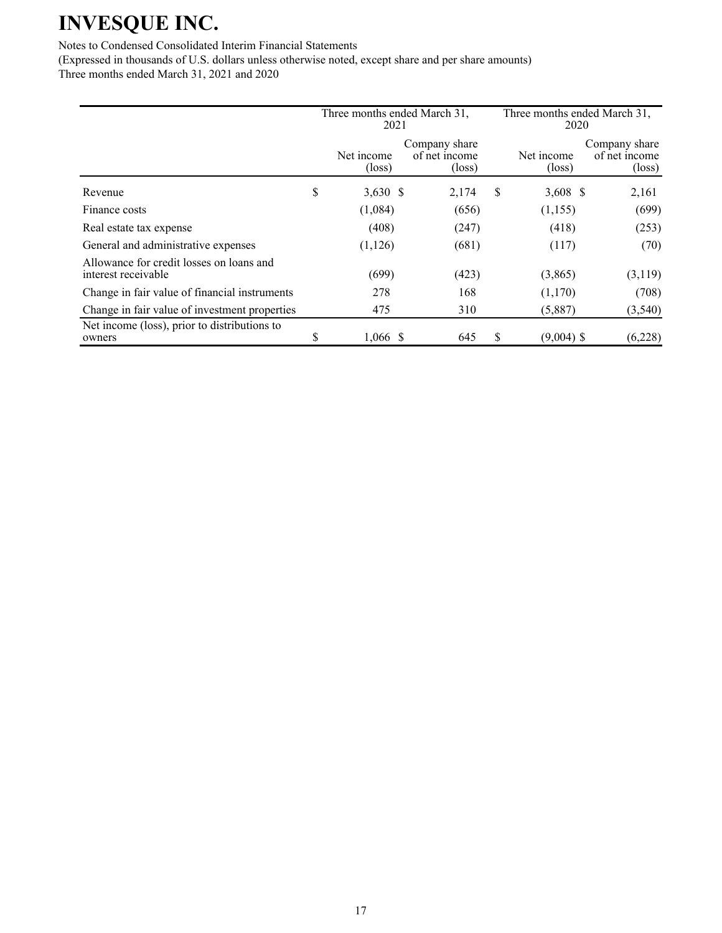### Notes to Condensed Consolidated Interim Financial Statements

(Expressed in thousands of U.S. dollars unless otherwise noted, except share and per share amounts) Three months ended March 31, 2021 and 2020

|                                                                 | Three months ended March 31,<br>2021 |  |                                                   |   | Three months ended March 31,<br>2020 |                                                   |  |  |
|-----------------------------------------------------------------|--------------------------------------|--|---------------------------------------------------|---|--------------------------------------|---------------------------------------------------|--|--|
|                                                                 | Net income<br>$(\text{loss})$        |  | Company share<br>of net income<br>$(\text{loss})$ |   | Net income<br>$(\text{loss})$        | Company share<br>of net income<br>$(\text{loss})$ |  |  |
| Revenue                                                         | \$<br>$3,630$ \$                     |  | 2,174                                             | S | 3,608 \$                             | 2,161                                             |  |  |
| Finance costs                                                   | (1,084)                              |  | (656)                                             |   | (1,155)                              | (699)                                             |  |  |
| Real estate tax expense                                         | (408)                                |  | (247)                                             |   | (418)                                | (253)                                             |  |  |
| General and administrative expenses                             | (1, 126)                             |  | (681)                                             |   | (117)                                | (70)                                              |  |  |
| Allowance for credit losses on loans and<br>interest receivable | (699)                                |  | (423)                                             |   | (3,865)                              | (3,119)                                           |  |  |
| Change in fair value of financial instruments                   | 278                                  |  | 168                                               |   | (1,170)                              | (708)                                             |  |  |
| Change in fair value of investment properties                   | 475                                  |  | 310                                               |   | (5,887)                              | (3, 540)                                          |  |  |
| Net income (loss), prior to distributions to<br>owners          | \$<br>$1,066$ \$                     |  | 645                                               | S | $(9,004)$ \$                         | (6,228)                                           |  |  |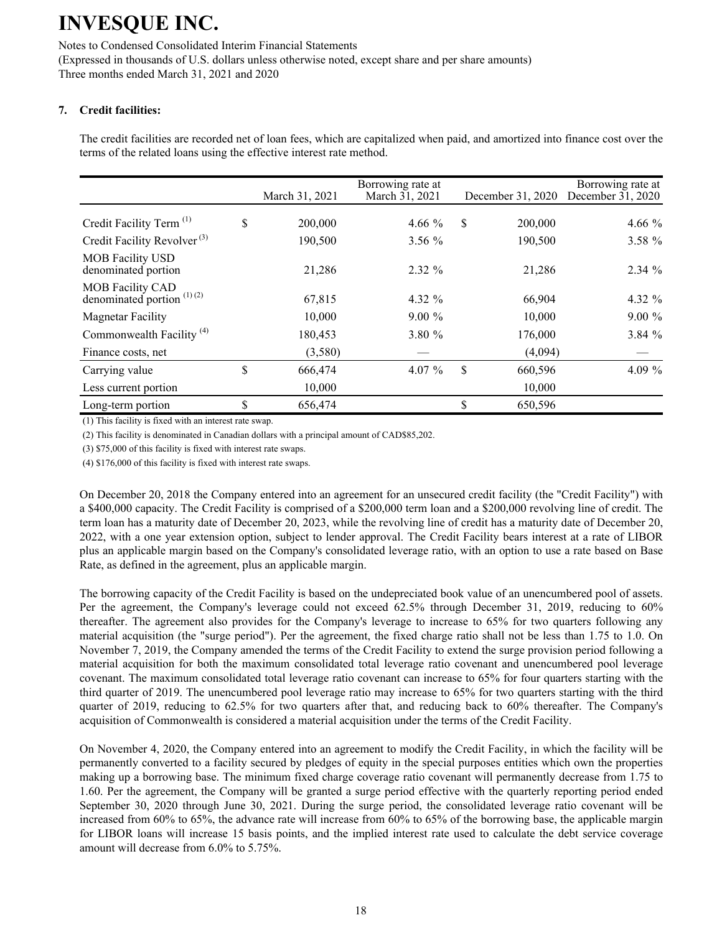Notes to Condensed Consolidated Interim Financial Statements (Expressed in thousands of U.S. dollars unless otherwise noted, except share and per share amounts) Three months ended March 31, 2021 and 2020

### **7. Credit facilities:**

The credit facilities are recorded net of loan fees, which are capitalized when paid, and amortized into finance cost over the terms of the related loans using the effective interest rate method.

|                                                         | March 31, 2021 | Borrowing rate at<br>March 31, 2021 | December 31, 2020 | Borrowing rate at<br>December 31, 2020 |
|---------------------------------------------------------|----------------|-------------------------------------|-------------------|----------------------------------------|
| Credit Facility Term <sup>(1)</sup>                     | \$<br>200,000  | 4.66 $\%$                           | \$<br>200,000     | 4.66 $%$                               |
| Credit Facility Revolver <sup>(3)</sup>                 | 190,500        | $3.56\%$                            | 190,500           | 3.58 %                                 |
| <b>MOB</b> Facility USD<br>denominated portion          | 21,286         | $2.32\%$                            | 21,286            | $2.34\%$                               |
| <b>MOB Facility CAD</b><br>denominated portion $(1)(2)$ | 67,815         | 4.32 %                              | 66,904            | 4.32 %                                 |
| <b>Magnetar Facility</b>                                | 10.000         | $9.00\%$                            | 10,000            | $9.00\%$                               |
| Commonwealth Facility <sup>(4)</sup>                    | 180,453        | 3.80 %                              | 176,000           | 3.84%                                  |
| Finance costs, net                                      | (3,580)        |                                     | (4,094)           |                                        |
| Carrying value                                          | \$<br>666,474  | 4.07 $%$                            | \$<br>660,596     | 4.09 $%$                               |
| Less current portion                                    | 10,000         |                                     | 10,000            |                                        |
| Long-term portion                                       | \$<br>656,474  |                                     | \$<br>650,596     |                                        |

(1) This facility is fixed with an interest rate swap.

(2) This facility is denominated in Canadian dollars with a principal amount of CAD\$85,202.

(3) \$75,000 of this facility is fixed with interest rate swaps.

(4) \$176,000 of this facility is fixed with interest rate swaps.

On December 20, 2018 the Company entered into an agreement for an unsecured credit facility (the "Credit Facility") with a \$400,000 capacity. The Credit Facility is comprised of a \$200,000 term loan and a \$200,000 revolving line of credit. The term loan has a maturity date of December 20, 2023, while the revolving line of credit has a maturity date of December 20, 2022, with a one year extension option, subject to lender approval. The Credit Facility bears interest at a rate of LIBOR plus an applicable margin based on the Company's consolidated leverage ratio, with an option to use a rate based on Base Rate, as defined in the agreement, plus an applicable margin.

The borrowing capacity of the Credit Facility is based on the undepreciated book value of an unencumbered pool of assets. Per the agreement, the Company's leverage could not exceed 62.5% through December 31, 2019, reducing to 60% thereafter. The agreement also provides for the Company's leverage to increase to 65% for two quarters following any material acquisition (the "surge period"). Per the agreement, the fixed charge ratio shall not be less than 1.75 to 1.0. On November 7, 2019, the Company amended the terms of the Credit Facility to extend the surge provision period following a material acquisition for both the maximum consolidated total leverage ratio covenant and unencumbered pool leverage covenant. The maximum consolidated total leverage ratio covenant can increase to 65% for four quarters starting with the third quarter of 2019. The unencumbered pool leverage ratio may increase to 65% for two quarters starting with the third quarter of 2019, reducing to 62.5% for two quarters after that, and reducing back to 60% thereafter. The Company's acquisition of Commonwealth is considered a material acquisition under the terms of the Credit Facility.

On November 4, 2020, the Company entered into an agreement to modify the Credit Facility, in which the facility will be permanently converted to a facility secured by pledges of equity in the special purposes entities which own the properties making up a borrowing base. The minimum fixed charge coverage ratio covenant will permanently decrease from 1.75 to 1.60. Per the agreement, the Company will be granted a surge period effective with the quarterly reporting period ended September 30, 2020 through June 30, 2021. During the surge period, the consolidated leverage ratio covenant will be increased from 60% to 65%, the advance rate will increase from 60% to 65% of the borrowing base, the applicable margin for LIBOR loans will increase 15 basis points, and the implied interest rate used to calculate the debt service coverage amount will decrease from 6.0% to 5.75%.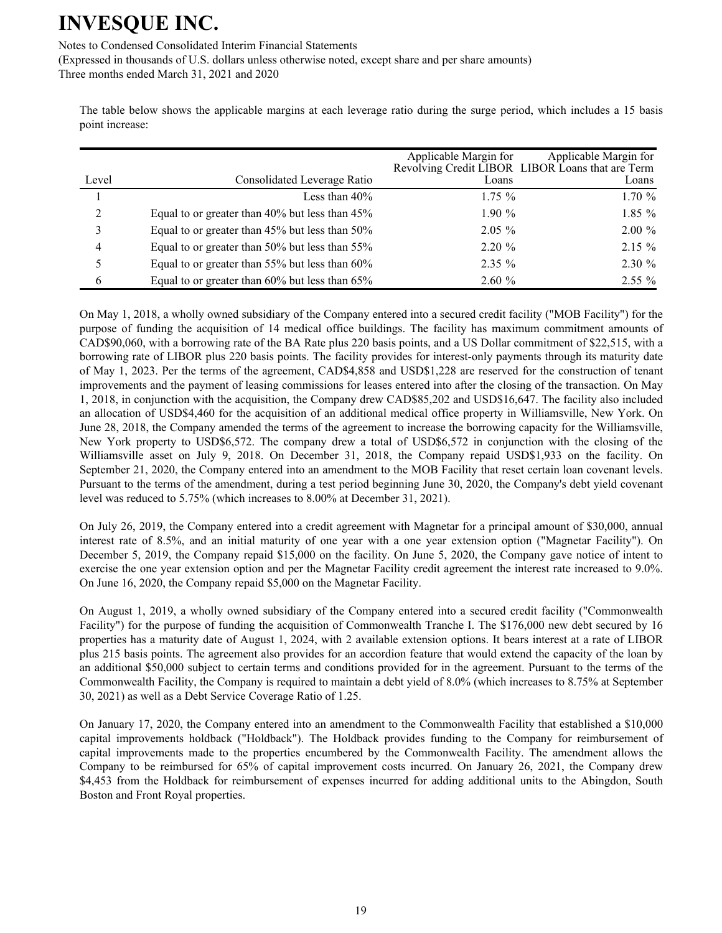Notes to Condensed Consolidated Interim Financial Statements

(Expressed in thousands of U.S. dollars unless otherwise noted, except share and per share amounts) Three months ended March 31, 2021 and 2020

The table below shows the applicable margins at each leverage ratio during the surge period, which includes a 15 basis point increase:

|                |                                                | Applicable Margin for | Applicable Margin for<br>Revolving Credit LIBOR LIBOR Loans that are Term |
|----------------|------------------------------------------------|-----------------------|---------------------------------------------------------------------------|
| Level          | Consolidated Leverage Ratio                    | Loans                 | Loans                                                                     |
|                | Less than $40\%$                               | $1.75\%$              | 1.70%                                                                     |
| $\overline{2}$ | Equal to or greater than 40% but less than 45% | $1.90\%$              | $1.85\%$                                                                  |
| 3              | Equal to or greater than 45% but less than 50% | $2.05\%$              | $2.00 \%$                                                                 |
| 4              | Equal to or greater than 50% but less than 55% | $2.20 \%$             | $2.15 \%$                                                                 |
| 5              | Equal to or greater than 55% but less than 60% | $2.35\%$              | $2.30 \%$                                                                 |
| 6              | Equal to or greater than 60% but less than 65% | 2.60%                 | $2.55\%$                                                                  |

On May 1, 2018, a wholly owned subsidiary of the Company entered into a secured credit facility ("MOB Facility") for the purpose of funding the acquisition of 14 medical office buildings. The facility has maximum commitment amounts of CAD\$90,060, with a borrowing rate of the BA Rate plus 220 basis points, and a US Dollar commitment of \$22,515, with a borrowing rate of LIBOR plus 220 basis points. The facility provides for interest-only payments through its maturity date of May 1, 2023. Per the terms of the agreement, CAD\$4,858 and USD\$1,228 are reserved for the construction of tenant improvements and the payment of leasing commissions for leases entered into after the closing of the transaction. On May 1, 2018, in conjunction with the acquisition, the Company drew CAD\$85,202 and USD\$16,647. The facility also included an allocation of USD\$4,460 for the acquisition of an additional medical office property in Williamsville, New York. On June 28, 2018, the Company amended the terms of the agreement to increase the borrowing capacity for the Williamsville, New York property to USD\$6,572. The company drew a total of USD\$6,572 in conjunction with the closing of the Williamsville asset on July 9, 2018. On December 31, 2018, the Company repaid USD\$1,933 on the facility. On September 21, 2020, the Company entered into an amendment to the MOB Facility that reset certain loan covenant levels. Pursuant to the terms of the amendment, during a test period beginning June 30, 2020, the Company's debt yield covenant level was reduced to 5.75% (which increases to 8.00% at December 31, 2021).

On July 26, 2019, the Company entered into a credit agreement with Magnetar for a principal amount of \$30,000, annual interest rate of 8.5%, and an initial maturity of one year with a one year extension option ("Magnetar Facility"). On December 5, 2019, the Company repaid \$15,000 on the facility. On June 5, 2020, the Company gave notice of intent to exercise the one year extension option and per the Magnetar Facility credit agreement the interest rate increased to 9.0%. On June 16, 2020, the Company repaid \$5,000 on the Magnetar Facility.

On August 1, 2019, a wholly owned subsidiary of the Company entered into a secured credit facility ("Commonwealth Facility") for the purpose of funding the acquisition of Commonwealth Tranche I. The \$176,000 new debt secured by 16 properties has a maturity date of August 1, 2024, with 2 available extension options. It bears interest at a rate of LIBOR plus 215 basis points. The agreement also provides for an accordion feature that would extend the capacity of the loan by an additional \$50,000 subject to certain terms and conditions provided for in the agreement. Pursuant to the terms of the Commonwealth Facility, the Company is required to maintain a debt yield of 8.0% (which increases to 8.75% at September 30, 2021) as well as a Debt Service Coverage Ratio of 1.25.

On January 17, 2020, the Company entered into an amendment to the Commonwealth Facility that established a \$10,000 capital improvements holdback ("Holdback"). The Holdback provides funding to the Company for reimbursement of capital improvements made to the properties encumbered by the Commonwealth Facility. The amendment allows the Company to be reimbursed for 65% of capital improvement costs incurred. On January 26, 2021, the Company drew \$4,453 from the Holdback for reimbursement of expenses incurred for adding additional units to the Abingdon, South Boston and Front Royal properties.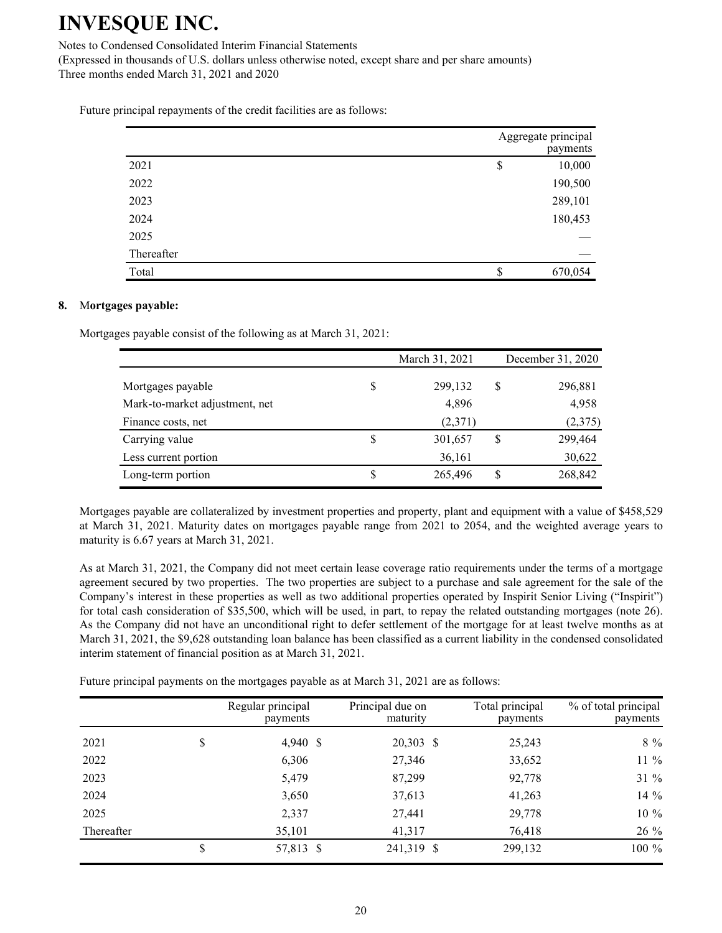Notes to Condensed Consolidated Interim Financial Statements

(Expressed in thousands of U.S. dollars unless otherwise noted, except share and per share amounts) Three months ended March 31, 2021 and 2020

Future principal repayments of the credit facilities are as follows:

|            | Aggregate principal<br>payments |
|------------|---------------------------------|
| 2021       | 10,000<br>\$                    |
| 2022       | 190,500                         |
| 2023       | 289,101                         |
| 2024       | 180,453                         |
| 2025       |                                 |
| Thereafter |                                 |
| Total      | \$<br>670,054                   |

#### **8.** M**ortgages payable:**

Mortgages payable consist of the following as at March 31, 2021:

|   | March 31, 2021 |   | December 31, 2020 |
|---|----------------|---|-------------------|
| S | 299,132        | S | 296,881           |
|   | 4,896          |   | 4,958             |
|   | (2,371)        |   | (2,375)           |
| S | 301,657        | S | 299,464           |
|   | 36,161         |   | 30,622            |
| S | 265,496        | S | 268,842           |
|   |                |   |                   |

Mortgages payable are collateralized by investment properties and property, plant and equipment with a value of \$458,529 at March 31, 2021. Maturity dates on mortgages payable range from 2021 to 2054, and the weighted average years to maturity is 6.67 years at March 31, 2021.

As at March 31, 2021, the Company did not meet certain lease coverage ratio requirements under the terms of a mortgage agreement secured by two properties. The two properties are subject to a purchase and sale agreement for the sale of the Company's interest in these properties as well as two additional properties operated by Inspirit Senior Living ("Inspirit") for total cash consideration of \$35,500, which will be used, in part, to repay the related outstanding mortgages (note 26). As the Company did not have an unconditional right to defer settlement of the mortgage for at least twelve months as at March 31, 2021, the \$9,628 outstanding loan balance has been classified as a current liability in the condensed consolidated interim statement of financial position as at March 31, 2021.

Future principal payments on the mortgages payable as at March 31, 2021 are as follows:

|            |    | Regular principal<br>payments | Principal due on<br>maturity | Total principal<br>payments | % of total principal<br>payments |
|------------|----|-------------------------------|------------------------------|-----------------------------|----------------------------------|
| 2021       | \$ | 4,940 \$                      | 20,303 \$                    | 25,243                      | $8\%$                            |
| 2022       |    | 6,306                         | 27,346                       | 33,652                      | $11\%$                           |
| 2023       |    | 5,479                         | 87,299                       | 92,778                      | 31 %                             |
| 2024       |    | 3,650                         | 37,613                       | 41,263                      | 14 %                             |
| 2025       |    | 2,337                         | 27,441                       | 29,778                      | 10 %                             |
| Thereafter |    | 35,101                        | 41,317                       | 76,418                      | 26 %                             |
|            | S  | 57,813 \$                     | 241,319 \$                   | 299,132                     | 100 %                            |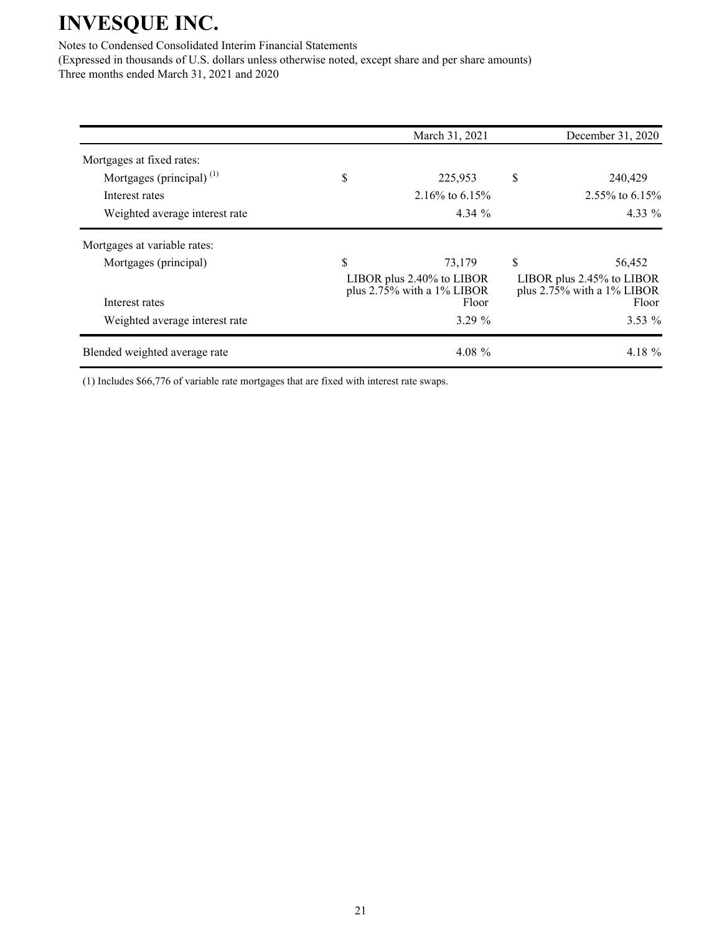Notes to Condensed Consolidated Interim Financial Statements

(Expressed in thousands of U.S. dollars unless otherwise noted, except share and per share amounts) Three months ended March 31, 2021 and 2020

| 225,953<br>2.16\% to 6.15\%<br>$4.34\%$ | \$<br>240,429<br>2.55% to 6.15%<br>$4.33\%$                                               |
|-----------------------------------------|-------------------------------------------------------------------------------------------|
|                                         |                                                                                           |
|                                         |                                                                                           |
|                                         |                                                                                           |
|                                         |                                                                                           |
|                                         |                                                                                           |
| 73,179                                  | \$<br>56,452                                                                              |
|                                         | LIBOR plus 2.45% to LIBOR<br>plus $2.7\overline{5}\%$ with a 1% LIBOR<br>Floor            |
|                                         | $3.53\%$                                                                                  |
|                                         | 4.18 %                                                                                    |
|                                         | LIBOR plus 2.40% to LIBOR<br>plus $2.75\%$ with a 1% LIBOR<br>Floor<br>3.29%<br>4.08 $\%$ |

(1) Includes \$66,776 of variable rate mortgages that are fixed with interest rate swaps.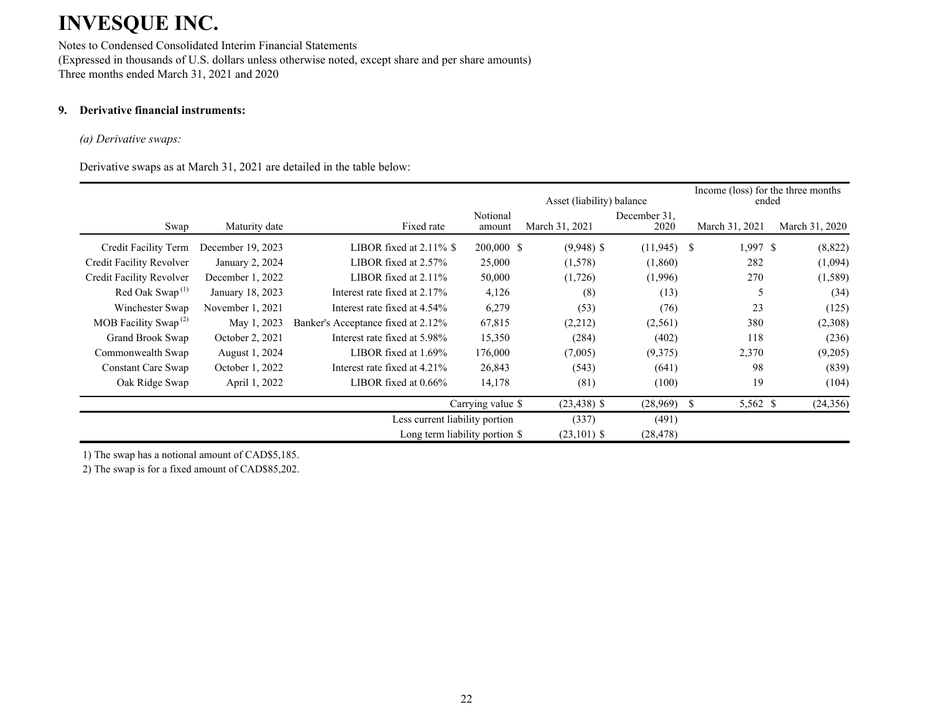Notes to Condensed Consolidated Interim Financial Statements (Expressed in thousands of U.S. dollars unless otherwise noted, except share and per share amounts) Three months ended March 31, 2021 and 2020

### **9. Derivative financial instruments:**

#### *(a) Derivative swaps:*

Derivative swaps as at March 31, 2021 are detailed in the table below:

|                                          |                   |                                    |                    | Asset (liability) balance |                      |                | Income (loss) for the three months<br>ended |
|------------------------------------------|-------------------|------------------------------------|--------------------|---------------------------|----------------------|----------------|---------------------------------------------|
| Swap                                     | Maturity date     | Fixed rate                         | Notional<br>amount | March 31, 2021            | December 31.<br>2020 | March 31, 2021 | March 31, 2020                              |
| Credit Facility Term                     | December 19, 2023 | LIBOR fixed at $2.11\%$ \$         | 200,000 \$         | $(9,948)$ \$              | $(11,945)$ \$        | $1,997$ \$     | (8,822)                                     |
| Credit Facility Revolver                 | January 2, 2024   | LIBOR fixed at $2.57\%$            | 25,000             | (1,578)                   | (1,860)              | 282            | (1,094)                                     |
| Credit Facility Revolver                 | December 1, 2022  | LIBOR fixed at $2.11\%$            | 50,000             | (1,726)                   | (1,996)              | 270            | (1,589)                                     |
| Red Oak Swap <sup><math>(1)</math></sup> | January 18, 2023  | Interest rate fixed at 2.17%       | 4,126              | (8)                       | (13)                 |                | (34)                                        |
| Winchester Swap                          | November 1, 2021  | Interest rate fixed at 4.54%       | 6,279              | (53)                      | (76)                 | 23             | (125)                                       |
| MOB Facility Swap <sup>(2)</sup>         | May 1, 2023       | Banker's Acceptance fixed at 2.12% | 67,815             | (2,212)                   | (2,561)              | 380            | (2,308)                                     |
| Grand Brook Swap                         | October 2, 2021   | Interest rate fixed at 5.98%       | 15,350             | (284)                     | (402)                | 118            | (236)                                       |
| Commonwealth Swap                        | August 1, 2024    | LIBOR fixed at $1.69\%$            | 176,000            | (7,005)                   | (9,375)              | 2,370          | (9,205)                                     |
| Constant Care Swap                       | October 1, 2022   | Interest rate fixed at 4.21%       | 26,843             | (543)                     | (641)                | 98             | (839)                                       |
| Oak Ridge Swap                           | April 1, 2022     | LIBOR fixed at $0.66\%$            | 14,178             | (81)                      | (100)                | 19             | (104)                                       |
|                                          |                   |                                    | Carrying value \$  | $(23, 438)$ \$            | (28,969)             | 5,562 \$<br>Ж. | (24, 356)                                   |
|                                          |                   | Less current liability portion     |                    | (337)                     | (491)                |                |                                             |
|                                          |                   | Long term liability portion \$     |                    | $(23,101)$ \$             | (28, 478)            |                |                                             |

1) The swap has a notional amount of CAD\$5,185.

2) The swap is for a fixed amount of CAD\$85,202.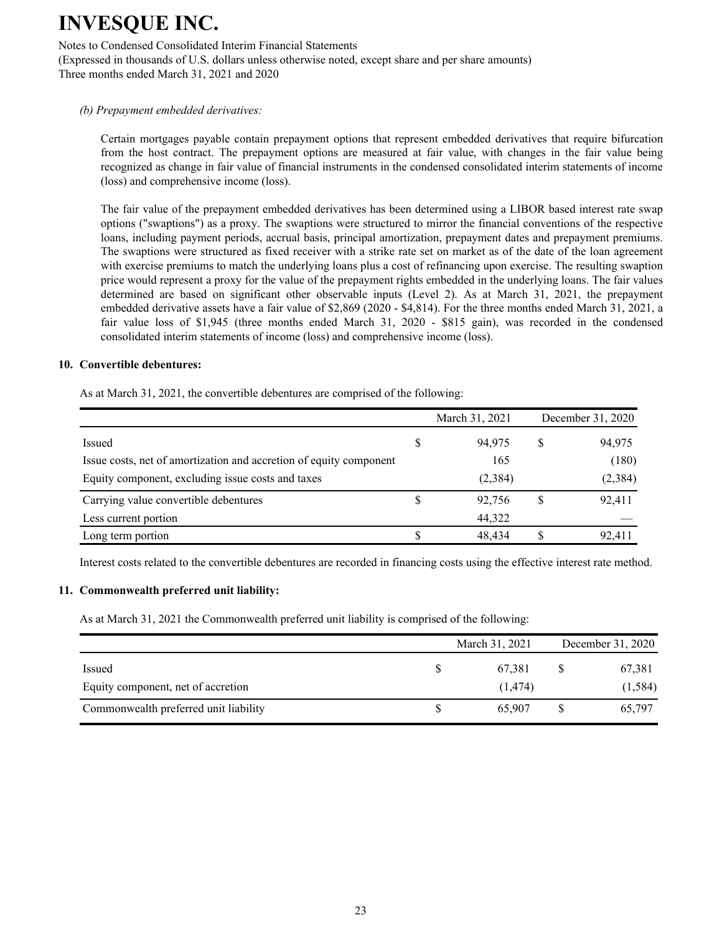Notes to Condensed Consolidated Interim Financial Statements

(Expressed in thousands of U.S. dollars unless otherwise noted, except share and per share amounts) Three months ended March 31, 2021 and 2020

### *(b) Prepayment embedded derivatives:*

Certain mortgages payable contain prepayment options that represent embedded derivatives that require bifurcation from the host contract. The prepayment options are measured at fair value, with changes in the fair value being recognized as change in fair value of financial instruments in the condensed consolidated interim statements of income (loss) and comprehensive income (loss).

The fair value of the prepayment embedded derivatives has been determined using a LIBOR based interest rate swap options ("swaptions") as a proxy. The swaptions were structured to mirror the financial conventions of the respective loans, including payment periods, accrual basis, principal amortization, prepayment dates and prepayment premiums. The swaptions were structured as fixed receiver with a strike rate set on market as of the date of the loan agreement with exercise premiums to match the underlying loans plus a cost of refinancing upon exercise. The resulting swaption price would represent a proxy for the value of the prepayment rights embedded in the underlying loans. The fair values determined are based on significant other observable inputs (Level 2). As at March 31, 2021, the prepayment embedded derivative assets have a fair value of \$2,869 (2020 - \$4,814). For the three months ended March 31, 2021, a fair value loss of \$1,945 (three months ended March 31, 2020 - \$815 gain), was recorded in the condensed consolidated interim statements of income (loss) and comprehensive income (loss).

#### **10. Convertible debentures:**

As at March 31, 2021, the convertible debentures are comprised of the following:

|                                                                    |  | March 31, 2021 | December 31, 2020 |          |
|--------------------------------------------------------------------|--|----------------|-------------------|----------|
| Issued                                                             |  | 94,975         | S                 | 94,975   |
| Issue costs, net of amortization and accretion of equity component |  | 165            |                   | (180)    |
| Equity component, excluding issue costs and taxes                  |  | (2,384)        |                   | (2, 384) |
| Carrying value convertible debentures                              |  | 92,756         | S                 | 92,411   |
| Less current portion                                               |  | 44,322         |                   |          |
| Long term portion                                                  |  | 48.434         |                   | 92,411   |

Interest costs related to the convertible debentures are recorded in financing costs using the effective interest rate method.

#### **11. Commonwealth preferred unit liability:**

As at March 31, 2021 the Commonwealth preferred unit liability is comprised of the following:

| Equity component, net of accretion    | March 31, 2021     | December 31, 2020 |                    |  |
|---------------------------------------|--------------------|-------------------|--------------------|--|
| Issued                                | 67,381<br>(1, 474) |                   | 67,381<br>(1, 584) |  |
| Commonwealth preferred unit liability | 65,907             |                   | 65,797             |  |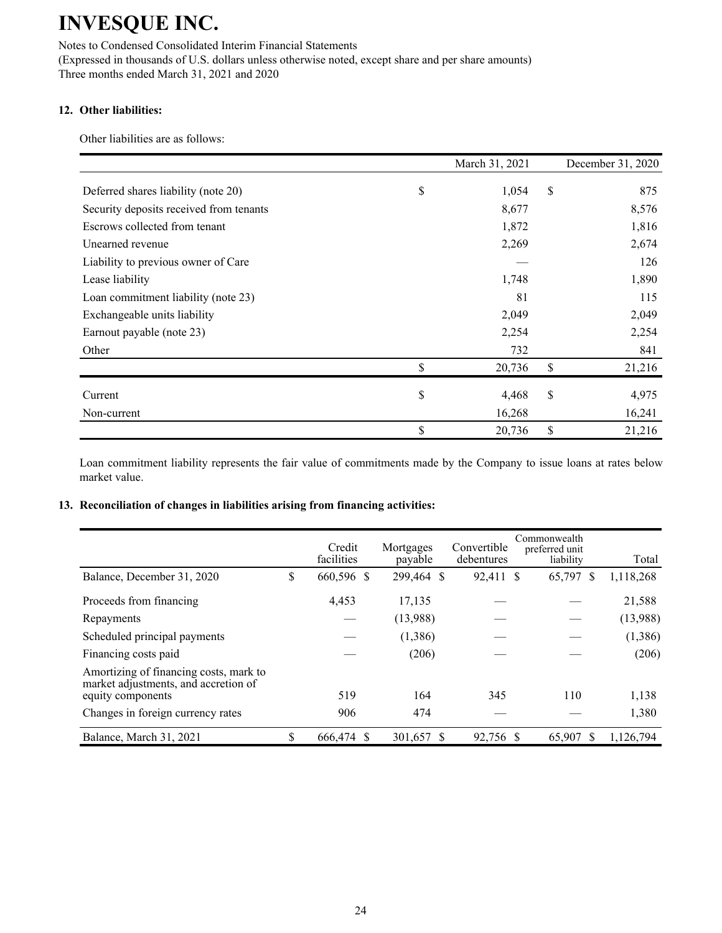Notes to Condensed Consolidated Interim Financial Statements (Expressed in thousands of U.S. dollars unless otherwise noted, except share and per share amounts) Three months ended March 31, 2021 and 2020

### **12. Other liabilities:**

Other liabilities are as follows:

|                                         | March 31, 2021 | December 31, 2020 |
|-----------------------------------------|----------------|-------------------|
| Deferred shares liability (note 20)     | \$<br>1,054    | \$<br>875         |
| Security deposits received from tenants | 8,677          | 8,576             |
| Escrows collected from tenant           | 1,872          | 1,816             |
| Unearned revenue                        | 2,269          | 2,674             |
| Liability to previous owner of Care     |                | 126               |
| Lease liability                         | 1,748          | 1,890             |
| Loan commitment liability (note 23)     | 81             | 115               |
| Exchangeable units liability            | 2,049          | 2,049             |
| Earnout payable (note 23)               | 2,254          | 2,254             |
| Other                                   | 732            | 841               |
|                                         | \$<br>20,736   | \$<br>21,216      |
| Current                                 | \$<br>4,468    | \$<br>4,975       |
| Non-current                             | 16,268         | 16,241            |
|                                         | \$<br>20,736   | \$<br>21,216      |

Loan commitment liability represents the fair value of commitments made by the Company to issue loans at rates below market value.

### **13. Reconciliation of changes in liabilities arising from financing activities:**

|                                                                                                     |   | Credit<br>facilities | Mortgages<br>payable | Convertible<br>debentures |              | Commonwealth<br>preferred unit<br>liability |    | Total     |
|-----------------------------------------------------------------------------------------------------|---|----------------------|----------------------|---------------------------|--------------|---------------------------------------------|----|-----------|
| Balance, December 31, 2020                                                                          | S | 660,596 \$           | 299,464 \$           | 92,411                    | <sup>S</sup> | 65,797                                      | -S | 1,118,268 |
| Proceeds from financing                                                                             |   | 4,453                | 17,135               |                           |              |                                             |    | 21,588    |
| Repayments                                                                                          |   |                      | (13,988)             |                           |              |                                             |    | (13,988)  |
| Scheduled principal payments                                                                        |   |                      | (1,386)              |                           |              |                                             |    | (1,386)   |
| Financing costs paid                                                                                |   |                      | (206)                |                           |              |                                             |    | (206)     |
| Amortizing of financing costs, mark to<br>market adjustments, and accretion of<br>equity components |   | 519                  | 164                  | 345                       |              | 110                                         |    | 1,138     |
| Changes in foreign currency rates                                                                   |   | 906                  | 474                  |                           |              |                                             |    | 1,380     |
| Balance, March 31, 2021                                                                             |   | 666,474 \$           | 301,657 \$           | 92,756 \$                 |              | 65,907                                      |    | 1,126,794 |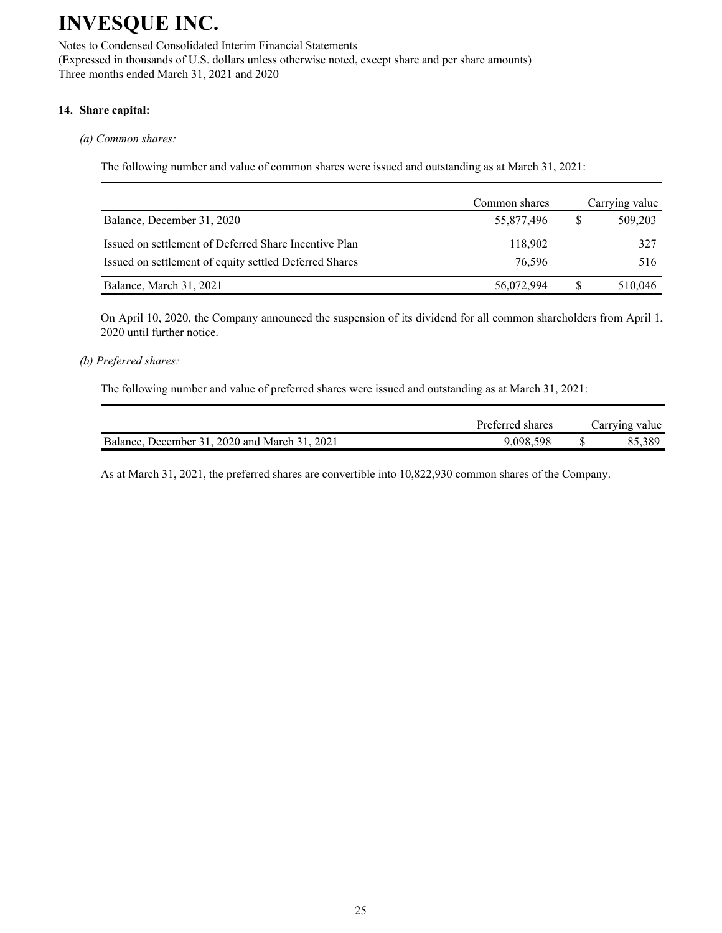Notes to Condensed Consolidated Interim Financial Statements (Expressed in thousands of U.S. dollars unless otherwise noted, except share and per share amounts) Three months ended March 31, 2021 and 2020

### **14. Share capital:**

### *(a) Common shares:*

The following number and value of common shares were issued and outstanding as at March 31, 2021:

|                                                        | Common shares | Carrying value |
|--------------------------------------------------------|---------------|----------------|
| Balance, December 31, 2020                             | 55,877,496    | 509,203        |
| Issued on settlement of Deferred Share Incentive Plan  | 118,902       | 327            |
| Issued on settlement of equity settled Deferred Shares | 76,596        | 516            |
| Balance, March 31, 2021                                | 56,072,994    | 510,046        |

On April 10, 2020, the Company announced the suspension of its dividend for all common shareholders from April 1, 2020 until further notice.

#### *(b) Preferred shares:*

The following number and value of preferred shares were issued and outstanding as at March 31, 2021:

|                                               | Preferred shares | Carrying value |
|-----------------------------------------------|------------------|----------------|
| Balance, December 31, 2020 and March 31, 2021 | 9.098.598        | 85.389         |

As at March 31, 2021, the preferred shares are convertible into 10,822,930 common shares of the Company.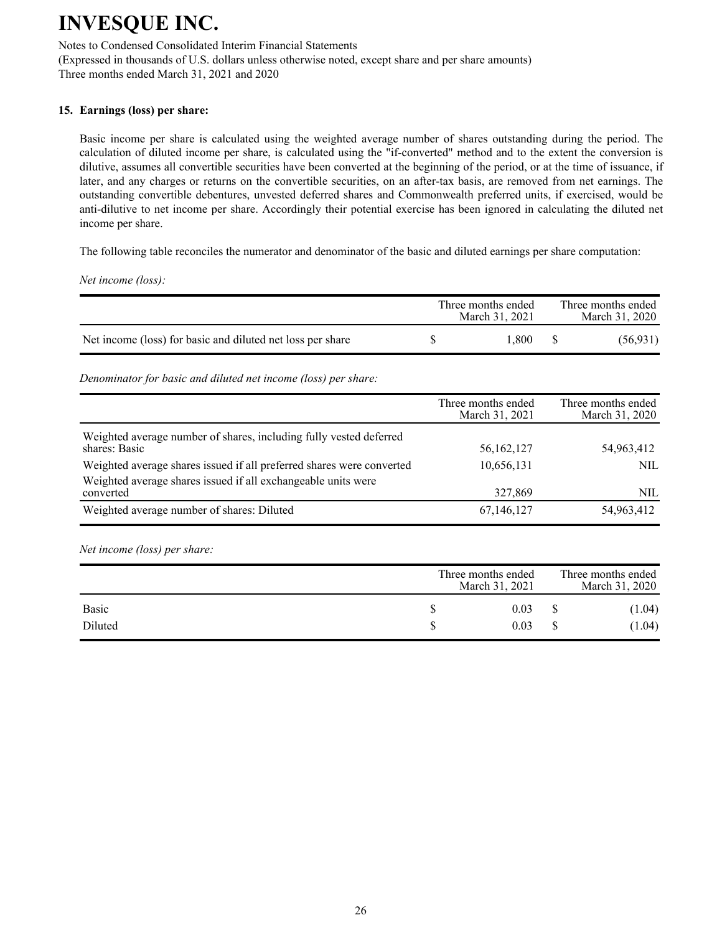Notes to Condensed Consolidated Interim Financial Statements

(Expressed in thousands of U.S. dollars unless otherwise noted, except share and per share amounts) Three months ended March 31, 2021 and 2020

### **15. Earnings (loss) per share:**

Basic income per share is calculated using the weighted average number of shares outstanding during the period. The calculation of diluted income per share, is calculated using the "if-converted" method and to the extent the conversion is dilutive, assumes all convertible securities have been converted at the beginning of the period, or at the time of issuance, if later, and any charges or returns on the convertible securities, on an after-tax basis, are removed from net earnings. The outstanding convertible debentures, unvested deferred shares and Commonwealth preferred units, if exercised, would be anti-dilutive to net income per share. Accordingly their potential exercise has been ignored in calculating the diluted net income per share.

The following table reconciles the numerator and denominator of the basic and diluted earnings per share computation:

*Net income (loss):*

|                                                            | Three months ended<br>March 31, 2021 | Three months ended<br>March 31, 2020 |
|------------------------------------------------------------|--------------------------------------|--------------------------------------|
| Net income (loss) for basic and diluted net loss per share | .800                                 | (56, 931)                            |

*Denominator for basic and diluted net income (loss) per share:*

|                                                                                     | Three months ended<br>March 31, 2021 | Three months ended<br>March 31, 2020 |
|-------------------------------------------------------------------------------------|--------------------------------------|--------------------------------------|
| Weighted average number of shares, including fully vested deferred<br>shares: Basic | 56,162,127                           | 54,963,412                           |
| Weighted average shares issued if all preferred shares were converted               | 10,656,131                           | <b>NIL</b>                           |
| Weighted average shares issued if all exchangeable units were<br>converted          | 327,869                              | NIL                                  |
| Weighted average number of shares: Diluted                                          | 67,146,127                           | 54,963,412                           |

*Net income (loss) per share:*

|              | Three months ended<br>March 31, 2021 | Three months ended<br>March 31, 2020 |        |  |
|--------------|--------------------------------------|--------------------------------------|--------|--|
| <b>Basic</b> | 0.03                                 |                                      | (1.04) |  |
| Diluted      | 0.03                                 |                                      | (1.04) |  |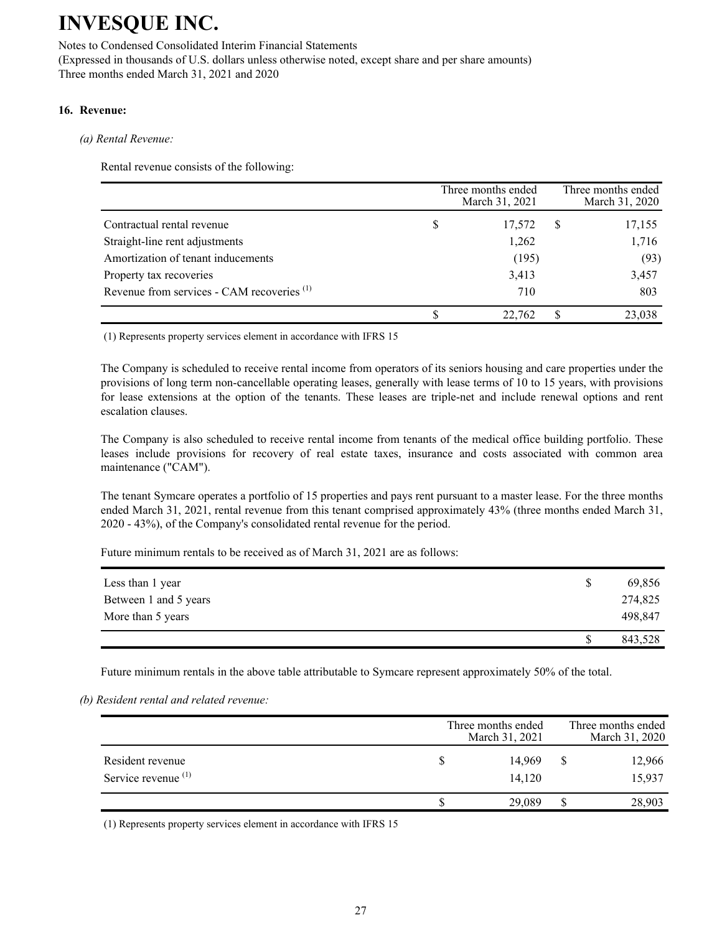Notes to Condensed Consolidated Interim Financial Statements

(Expressed in thousands of U.S. dollars unless otherwise noted, except share and per share amounts) Three months ended March 31, 2021 and 2020

#### **16. Revenue:**

#### *(a) Rental Revenue:*

Rental revenue consists of the following:

|                                                       |   | Three months ended<br>March 31, 2021 |   | Three months ended<br>March 31, 2020 |
|-------------------------------------------------------|---|--------------------------------------|---|--------------------------------------|
| Contractual rental revenue                            | S | 17,572                               | S | 17,155                               |
| Straight-line rent adjustments                        |   | 1,262                                |   | 1,716                                |
| Amortization of tenant inducements                    |   | (195)                                |   | (93)                                 |
| Property tax recoveries                               |   | 3,413                                |   | 3,457                                |
| Revenue from services - CAM recoveries <sup>(1)</sup> |   | 710                                  |   | 803                                  |
|                                                       |   | 22,762                               |   | 23,038                               |

(1) Represents property services element in accordance with IFRS 15

The Company is scheduled to receive rental income from operators of its seniors housing and care properties under the provisions of long term non-cancellable operating leases, generally with lease terms of 10 to 15 years, with provisions for lease extensions at the option of the tenants. These leases are triple-net and include renewal options and rent escalation clauses.

The Company is also scheduled to receive rental income from tenants of the medical office building portfolio. These leases include provisions for recovery of real estate taxes, insurance and costs associated with common area maintenance ("CAM").

The tenant Symcare operates a portfolio of 15 properties and pays rent pursuant to a master lease. For the three months ended March 31, 2021, rental revenue from this tenant comprised approximately 43% (three months ended March 31, 2020 - 43%), of the Company's consolidated rental revenue for the period.

Future minimum rentals to be received as of March 31, 2021 are as follows:

| Less than 1 year      | 69,856  |
|-----------------------|---------|
| Between 1 and 5 years | 274,825 |
| More than 5 years     | 498,847 |
|                       | 843,528 |

Future minimum rentals in the above table attributable to Symcare represent approximately 50% of the total.

*(b) Resident rental and related revenue:*

|                                                    | Three months ended<br>March 31, 2021 | Three months ended<br>March 31, 2020 |                  |  |  |  |
|----------------------------------------------------|--------------------------------------|--------------------------------------|------------------|--|--|--|
| Resident revenue<br>Service revenue <sup>(1)</sup> | 14.969<br>14.120                     |                                      | 12,966<br>15,937 |  |  |  |
|                                                    | 29.089                               |                                      | 28,903           |  |  |  |

(1) Represents property services element in accordance with IFRS 15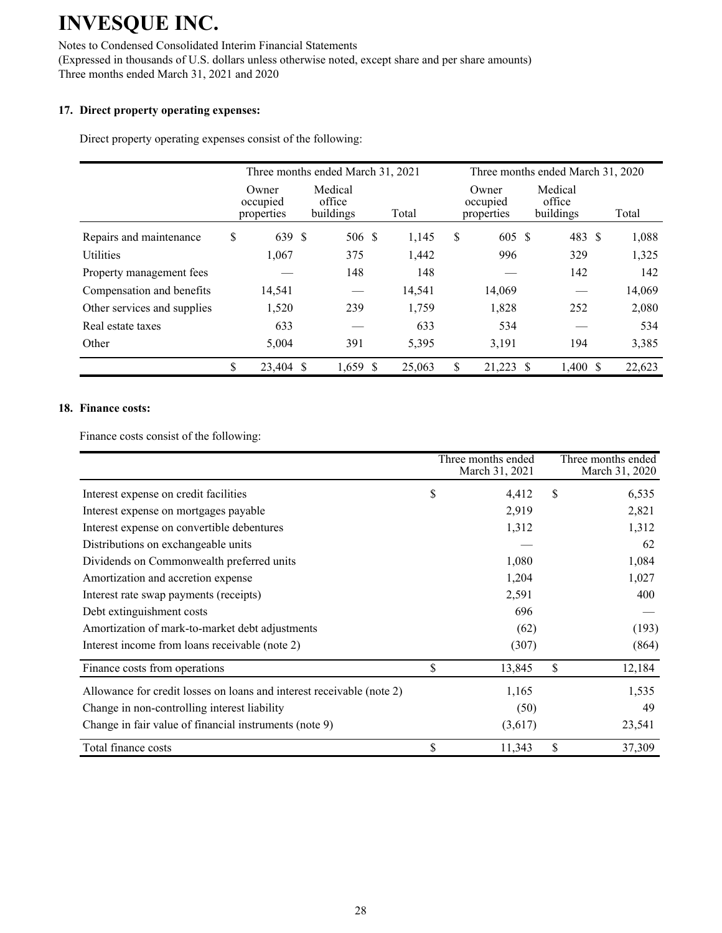Notes to Condensed Consolidated Interim Financial Statements (Expressed in thousands of U.S. dollars unless otherwise noted, except share and per share amounts) Three months ended March 31, 2021 and 2020

### **17. Direct property operating expenses:**

Direct property operating expenses consist of the following:

|                             | Three months ended March 31, 2021 |  |                                |  |        | Three months ended March 31, 2020 |                                 |   |                                |  |        |
|-----------------------------|-----------------------------------|--|--------------------------------|--|--------|-----------------------------------|---------------------------------|---|--------------------------------|--|--------|
|                             | Owner<br>occupied<br>properties   |  | Medical<br>office<br>buildings |  | Total  |                                   | Owner<br>occupied<br>properties |   | Medical<br>office<br>buildings |  | Total  |
| Repairs and maintenance     | \$<br>639 \$                      |  | 506 \$                         |  | 1,145  | \$                                | 605 \$                          |   | 483 \$                         |  | 1,088  |
| <b>Utilities</b>            | 1,067                             |  | 375                            |  | 1,442  |                                   | 996                             |   | 329                            |  | 1,325  |
| Property management fees    |                                   |  | 148                            |  | 148    |                                   |                                 |   | 142                            |  | 142    |
| Compensation and benefits   | 14,541                            |  |                                |  | 14,541 |                                   | 14,069                          |   |                                |  | 14,069 |
| Other services and supplies | 1,520                             |  | 239                            |  | 1,759  |                                   | 1,828                           |   | 252                            |  | 2,080  |
| Real estate taxes           | 633                               |  |                                |  | 633    |                                   | 534                             |   |                                |  | 534    |
| Other                       | 5,004                             |  | 391                            |  | 5,395  |                                   | 3,191                           |   | 194                            |  | 3,385  |
|                             | \$<br>23,404 \$                   |  | $1,659$ \$                     |  | 25,063 | \$                                | 21,223                          | S | $1,400$ \$                     |  | 22,623 |

### **18. Finance costs:**

Finance costs consist of the following:

|                                                                       | Three months ended<br>March 31, 2021 | Three months ended<br>March 31, 2020 |
|-----------------------------------------------------------------------|--------------------------------------|--------------------------------------|
| Interest expense on credit facilities                                 | \$<br>4,412                          | \$<br>6,535                          |
| Interest expense on mortgages payable                                 | 2,919                                | 2,821                                |
| Interest expense on convertible debentures                            | 1,312                                | 1,312                                |
| Distributions on exchangeable units                                   |                                      | 62                                   |
| Dividends on Commonwealth preferred units                             | 1,080                                | 1,084                                |
| Amortization and accretion expense                                    | 1,204                                | 1,027                                |
| Interest rate swap payments (receipts)                                | 2,591                                | 400                                  |
| Debt extinguishment costs                                             | 696                                  |                                      |
| Amortization of mark-to-market debt adjustments                       | (62)                                 | (193)                                |
| Interest income from loans receivable (note 2)                        | (307)                                | (864)                                |
| Finance costs from operations                                         | \$<br>13,845                         | \$<br>12,184                         |
| Allowance for credit losses on loans and interest receivable (note 2) | 1,165                                | 1,535                                |
| Change in non-controlling interest liability                          | (50)                                 | 49                                   |
| Change in fair value of financial instruments (note 9)                | (3,617)                              | 23,541                               |
| Total finance costs                                                   | \$<br>11,343                         | \$<br>37,309                         |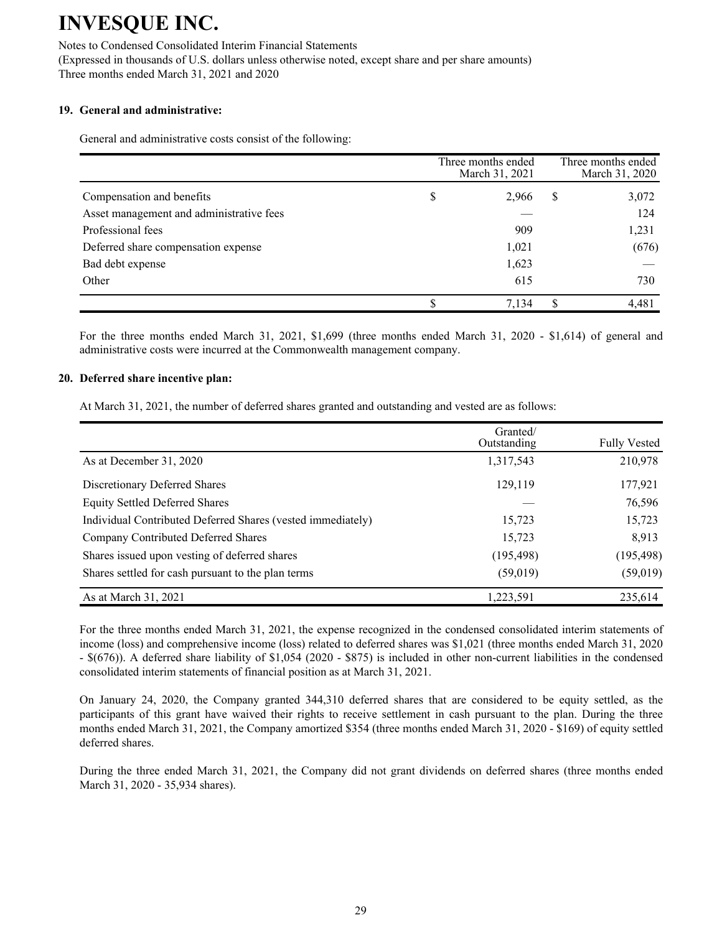Notes to Condensed Consolidated Interim Financial Statements

(Expressed in thousands of U.S. dollars unless otherwise noted, except share and per share amounts) Three months ended March 31, 2021 and 2020

### **19. General and administrative:**

General and administrative costs consist of the following:

|                                          | Three months ended<br>March 31, 2021 |   | Three months ended<br>March 31, 2020 |
|------------------------------------------|--------------------------------------|---|--------------------------------------|
| Compensation and benefits                | \$<br>2,966                          | S | 3,072                                |
| Asset management and administrative fees |                                      |   | 124                                  |
| Professional fees                        | 909                                  |   | 1,231                                |
| Deferred share compensation expense      | 1,021                                |   | (676)                                |
| Bad debt expense                         | 1,623                                |   |                                      |
| Other                                    | 615                                  |   | 730                                  |
|                                          | 7,134                                |   | 4,481                                |

For the three months ended March 31, 2021, \$1,699 (three months ended March 31, 2020 - \$1,614) of general and administrative costs were incurred at the Commonwealth management company.

#### **20. Deferred share incentive plan:**

At March 31, 2021, the number of deferred shares granted and outstanding and vested are as follows:

|                                                             | Granted/<br>Outstanding | <b>Fully Vested</b> |
|-------------------------------------------------------------|-------------------------|---------------------|
| As at December 31, 2020                                     | 1,317,543               | 210,978             |
| Discretionary Deferred Shares                               | 129,119                 | 177,921             |
| <b>Equity Settled Deferred Shares</b>                       |                         | 76,596              |
| Individual Contributed Deferred Shares (vested immediately) | 15,723                  | 15,723              |
| Company Contributed Deferred Shares                         | 15,723                  | 8,913               |
| Shares issued upon vesting of deferred shares               | (195, 498)              | (195, 498)          |
| Shares settled for cash pursuant to the plan terms          | (59,019)                | (59, 019)           |
| As at March 31, 2021                                        | 1,223,591               | 235,614             |

For the three months ended March 31, 2021, the expense recognized in the condensed consolidated interim statements of income (loss) and comprehensive income (loss) related to deferred shares was \$1,021 (three months ended March 31, 2020 - \$(676)). A deferred share liability of \$1,054 (2020 - \$875) is included in other non-current liabilities in the condensed consolidated interim statements of financial position as at March 31, 2021.

On January 24, 2020, the Company granted 344,310 deferred shares that are considered to be equity settled, as the participants of this grant have waived their rights to receive settlement in cash pursuant to the plan. During the three months ended March 31, 2021, the Company amortized \$354 (three months ended March 31, 2020 - \$169) of equity settled deferred shares.

During the three ended March 31, 2021, the Company did not grant dividends on deferred shares (three months ended March 31, 2020 - 35,934 shares).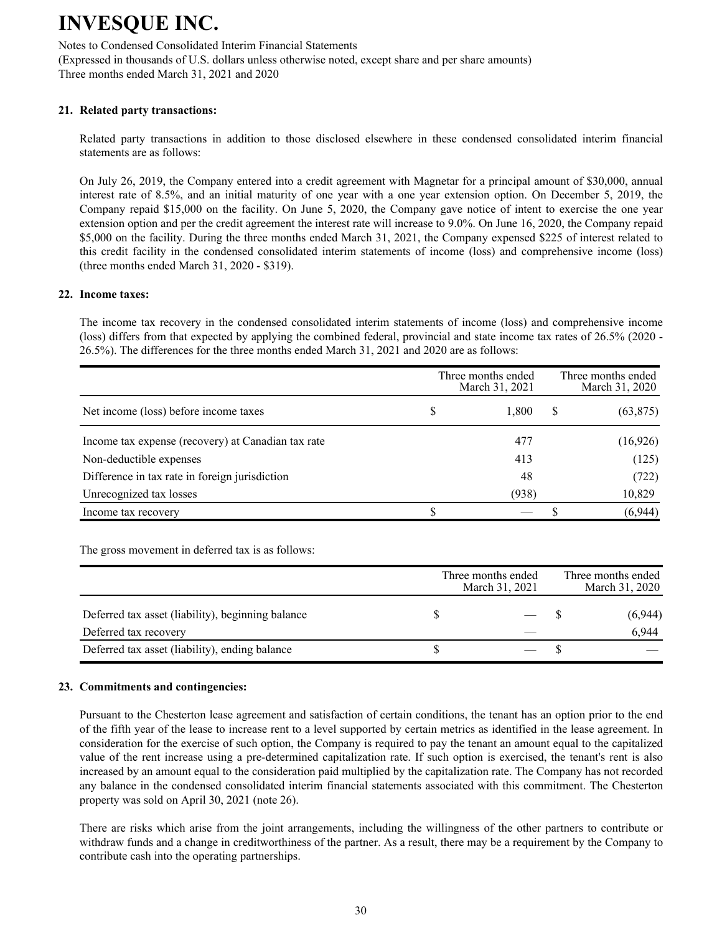Notes to Condensed Consolidated Interim Financial Statements

(Expressed in thousands of U.S. dollars unless otherwise noted, except share and per share amounts) Three months ended March 31, 2021 and 2020

### **21. Related party transactions:**

Related party transactions in addition to those disclosed elsewhere in these condensed consolidated interim financial statements are as follows:

On July 26, 2019, the Company entered into a credit agreement with Magnetar for a principal amount of \$30,000, annual interest rate of 8.5%, and an initial maturity of one year with a one year extension option. On December 5, 2019, the Company repaid \$15,000 on the facility. On June 5, 2020, the Company gave notice of intent to exercise the one year extension option and per the credit agreement the interest rate will increase to 9.0%. On June 16, 2020, the Company repaid \$5,000 on the facility. During the three months ended March 31, 2021, the Company expensed \$225 of interest related to this credit facility in the condensed consolidated interim statements of income (loss) and comprehensive income (loss) (three months ended March 31, 2020 - \$319).

#### **22. Income taxes:**

The income tax recovery in the condensed consolidated interim statements of income (loss) and comprehensive income (loss) differs from that expected by applying the combined federal, provincial and state income tax rates of 26.5% (2020 - 26.5%). The differences for the three months ended March 31, 2021 and 2020 are as follows:

|                                                    |   | Three months ended<br>March 31, 2021 |   | Three months ended<br>March 31, 2020 |
|----------------------------------------------------|---|--------------------------------------|---|--------------------------------------|
| Net income (loss) before income taxes              | S | 1.800                                | S | (63, 875)                            |
| Income tax expense (recovery) at Canadian tax rate |   | 477                                  |   | (16, 926)                            |
| Non-deductible expenses                            |   | 413                                  |   | (125)                                |
| Difference in tax rate in foreign jurisdiction     |   | 48                                   |   | (722)                                |
| Unrecognized tax losses                            |   | (938)                                |   | 10,829                               |
| Income tax recovery                                |   |                                      |   | (6,944)                              |

The gross movement in deferred tax is as follows:

|                                                   | Three months ended<br>March 31, 2021 | Three months ended<br>March 31, 2020 |         |  |  |
|---------------------------------------------------|--------------------------------------|--------------------------------------|---------|--|--|
| Deferred tax asset (liability), beginning balance |                                      |                                      | (6,944) |  |  |
| Deferred tax recovery                             |                                      |                                      | 6.944   |  |  |
| Deferred tax asset (liability), ending balance    |                                      |                                      |         |  |  |

### **23. Commitments and contingencies:**

Pursuant to the Chesterton lease agreement and satisfaction of certain conditions, the tenant has an option prior to the end of the fifth year of the lease to increase rent to a level supported by certain metrics as identified in the lease agreement. In consideration for the exercise of such option, the Company is required to pay the tenant an amount equal to the capitalized value of the rent increase using a pre-determined capitalization rate. If such option is exercised, the tenant's rent is also increased by an amount equal to the consideration paid multiplied by the capitalization rate. The Company has not recorded any balance in the condensed consolidated interim financial statements associated with this commitment. The Chesterton property was sold on April 30, 2021 (note 26).

There are risks which arise from the joint arrangements, including the willingness of the other partners to contribute or withdraw funds and a change in creditworthiness of the partner. As a result, there may be a requirement by the Company to contribute cash into the operating partnerships.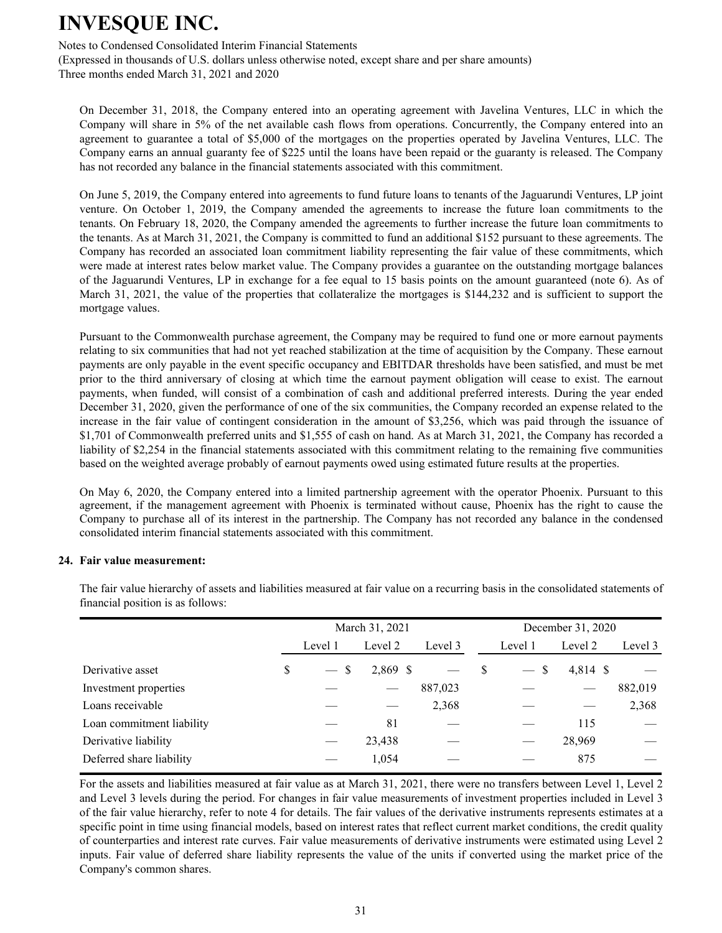Notes to Condensed Consolidated Interim Financial Statements

(Expressed in thousands of U.S. dollars unless otherwise noted, except share and per share amounts) Three months ended March 31, 2021 and 2020

On December 31, 2018, the Company entered into an operating agreement with Javelina Ventures, LLC in which the Company will share in 5% of the net available cash flows from operations. Concurrently, the Company entered into an agreement to guarantee a total of \$5,000 of the mortgages on the properties operated by Javelina Ventures, LLC. The Company earns an annual guaranty fee of \$225 until the loans have been repaid or the guaranty is released. The Company has not recorded any balance in the financial statements associated with this commitment.

On June 5, 2019, the Company entered into agreements to fund future loans to tenants of the Jaguarundi Ventures, LP joint venture. On October 1, 2019, the Company amended the agreements to increase the future loan commitments to the tenants. On February 18, 2020, the Company amended the agreements to further increase the future loan commitments to the tenants. As at March 31, 2021, the Company is committed to fund an additional \$152 pursuant to these agreements. The Company has recorded an associated loan commitment liability representing the fair value of these commitments, which were made at interest rates below market value. The Company provides a guarantee on the outstanding mortgage balances of the Jaguarundi Ventures, LP in exchange for a fee equal to 15 basis points on the amount guaranteed (note 6). As of March 31, 2021, the value of the properties that collateralize the mortgages is \$144,232 and is sufficient to support the mortgage values.

Pursuant to the Commonwealth purchase agreement, the Company may be required to fund one or more earnout payments relating to six communities that had not yet reached stabilization at the time of acquisition by the Company. These earnout payments are only payable in the event specific occupancy and EBITDAR thresholds have been satisfied, and must be met prior to the third anniversary of closing at which time the earnout payment obligation will cease to exist. The earnout payments, when funded, will consist of a combination of cash and additional preferred interests. During the year ended December 31, 2020, given the performance of one of the six communities, the Company recorded an expense related to the increase in the fair value of contingent consideration in the amount of \$3,256, which was paid through the issuance of \$1,701 of Commonwealth preferred units and \$1,555 of cash on hand. As at March 31, 2021, the Company has recorded a liability of \$2,254 in the financial statements associated with this commitment relating to the remaining five communities based on the weighted average probably of earnout payments owed using estimated future results at the properties.

On May 6, 2020, the Company entered into a limited partnership agreement with the operator Phoenix. Pursuant to this agreement, if the management agreement with Phoenix is terminated without cause, Phoenix has the right to cause the Company to purchase all of its interest in the partnership. The Company has not recorded any balance in the condensed consolidated interim financial statements associated with this commitment.

### **24. Fair value measurement:**

|                           |              | March 31, 2021 | December 31, 2020 |              |                          |            |         |  |  |
|---------------------------|--------------|----------------|-------------------|--------------|--------------------------|------------|---------|--|--|
|                           | Level 1      | Level 2        | Level 3           |              | Level 1                  | Level 2    | Level 3 |  |  |
| Derivative asset          | \$<br>$-$ \$ | 2,869 \$       |                   | <sup>S</sup> | $-$ \$                   | $4,814$ \$ |         |  |  |
| Investment properties     |              |                | 887,023           |              |                          |            | 882,019 |  |  |
| Loans receivable          |              |                | 2,368             |              |                          |            | 2,368   |  |  |
| Loan commitment liability |              | 81             |                   |              |                          | 115        |         |  |  |
| Derivative liability      |              | 23,438         |                   |              | $\overline{\phantom{0}}$ | 28,969     |         |  |  |
| Deferred share liability  |              | 1,054          |                   |              |                          | 875        |         |  |  |

The fair value hierarchy of assets and liabilities measured at fair value on a recurring basis in the consolidated statements of financial position is as follows:

 For the assets and liabilities measured at fair value as at March 31, 2021, there were no transfers between Level 1, Level 2 and Level 3 levels during the period. For changes in fair value measurements of investment properties included in Level 3 of the fair value hierarchy, refer to note 4 for details. The fair values of the derivative instruments represents estimates at a specific point in time using financial models, based on interest rates that reflect current market conditions, the credit quality of counterparties and interest rate curves. Fair value measurements of derivative instruments were estimated using Level 2 inputs. Fair value of deferred share liability represents the value of the units if converted using the market price of the Company's common shares.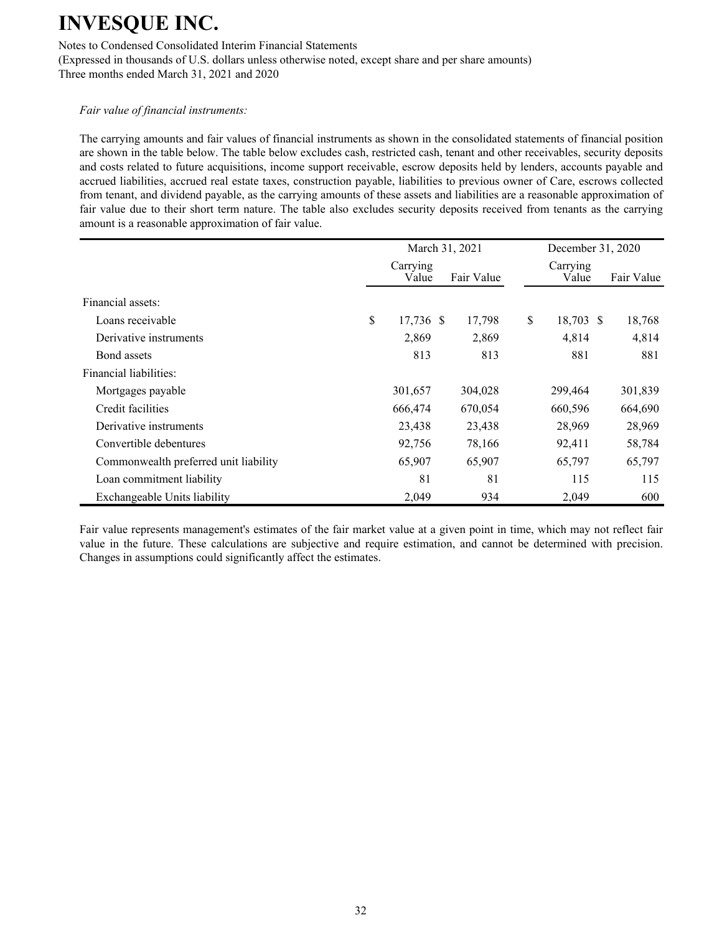Notes to Condensed Consolidated Interim Financial Statements

(Expressed in thousands of U.S. dollars unless otherwise noted, except share and per share amounts) Three months ended March 31, 2021 and 2020

### *Fair value of financial instruments:*

The carrying amounts and fair values of financial instruments as shown in the consolidated statements of financial position are shown in the table below. The table below excludes cash, restricted cash, tenant and other receivables, security deposits and costs related to future acquisitions, income support receivable, escrow deposits held by lenders, accounts payable and accrued liabilities, accrued real estate taxes, construction payable, liabilities to previous owner of Care, escrows collected from tenant, and dividend payable, as the carrying amounts of these assets and liabilities are a reasonable approximation of fair value due to their short term nature. The table also excludes security deposits received from tenants as the carrying amount is a reasonable approximation of fair value.

|                                       |                   | March 31, 2021 |                   | December 31, 2020 |            |  |
|---------------------------------------|-------------------|----------------|-------------------|-------------------|------------|--|
|                                       | Carrying<br>Value | Fair Value     | Carrying<br>Value |                   | Fair Value |  |
| Financial assets:                     |                   |                |                   |                   |            |  |
| Loans receivable                      | \$<br>17,736 \$   | 17,798         | \$<br>18,703 \$   |                   | 18,768     |  |
| Derivative instruments                | 2,869             | 2,869          | 4,814             |                   | 4,814      |  |
| Bond assets                           | 813               | 813            | 881               |                   | 881        |  |
| Financial liabilities:                |                   |                |                   |                   |            |  |
| Mortgages payable                     | 301,657           | 304,028        | 299,464           |                   | 301,839    |  |
| Credit facilities                     | 666,474           | 670,054        | 660,596           |                   | 664,690    |  |
| Derivative instruments                | 23,438            | 23,438         | 28,969            |                   | 28,969     |  |
| Convertible debentures                | 92,756            | 78,166         | 92,411            |                   | 58,784     |  |
| Commonwealth preferred unit liability | 65,907            | 65,907         | 65,797            |                   | 65,797     |  |
| Loan commitment liability             | 81                | 81             | 115               |                   | 115        |  |
| Exchangeable Units liability          | 2,049             | 934            | 2,049             |                   | 600        |  |

Fair value represents management's estimates of the fair market value at a given point in time, which may not reflect fair value in the future. These calculations are subjective and require estimation, and cannot be determined with precision. Changes in assumptions could significantly affect the estimates.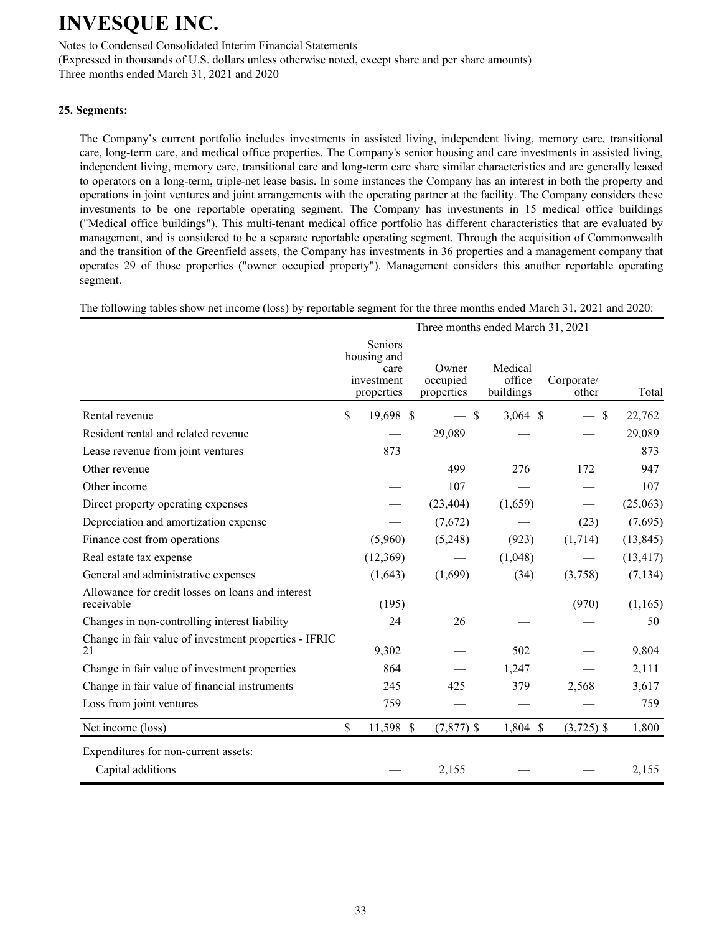Notes to Condensed Consolidated Interim Financial Statements

(Expressed in thousands of U.S. dollars unless otherwise noted, except share and per share amounts) Three months ended March 31, 2021 and 2020

### **25. Segments:**

The Company's current portfolio includes investments in assisted living, independent living, memory care, transitional care, long-term care, and medical office properties. The Company's senior housing and care investments in assisted living, independent living, memory care, transitional care and long-term care share similar characteristics and are generally leased to operators on a long-term, triple-net lease basis. In some instances the Company has an interest in both the property and operations in joint ventures and joint arrangements with the operating partner at the facility. The Company considers these investments to be one reportable operating segment. The Company has investments in 15 medical office buildings ("Medical office buildings"). This multi-tenant medical office portfolio has different characteristics that are evaluated by management, and is considered to be a separate reportable operating segment. Through the acquisition of Commonwealth and the transition of the Greenfield assets, the Company has investments in 36 properties and a management company that operates 29 of those properties ("owner occupied property"). Management considers this another reportable operating segment.

The following tables show net income (loss) by reportable segment for the three months ended March 31, 2021 and 2020:

|                                                                 | Three months ended March 31, 2021 |                                                            |  |                                 |                                |                     |           |  |  |  |
|-----------------------------------------------------------------|-----------------------------------|------------------------------------------------------------|--|---------------------------------|--------------------------------|---------------------|-----------|--|--|--|
|                                                                 |                                   | Seniors<br>housing and<br>care<br>investment<br>properties |  | Owner<br>occupied<br>properties | Medical<br>office<br>buildings | Corporate/<br>other | Total     |  |  |  |
| Rental revenue                                                  | \$                                | 19,698 \$                                                  |  | $\mathcal{S}$                   | $3,064$ \$                     | $\mathcal{S}$       | 22,762    |  |  |  |
| Resident rental and related revenue                             |                                   |                                                            |  | 29,089                          |                                |                     | 29,089    |  |  |  |
| Lease revenue from joint ventures                               |                                   | 873                                                        |  |                                 |                                |                     | 873       |  |  |  |
| Other revenue                                                   |                                   |                                                            |  | 499                             | 276                            | 172                 | 947       |  |  |  |
| Other income                                                    |                                   |                                                            |  | 107                             |                                |                     | 107       |  |  |  |
| Direct property operating expenses                              |                                   |                                                            |  | (23, 404)                       | (1,659)                        |                     | (25,063)  |  |  |  |
| Depreciation and amortization expense                           |                                   |                                                            |  | (7,672)                         |                                | (23)                | (7,695)   |  |  |  |
| Finance cost from operations                                    |                                   | (5,960)                                                    |  | (5,248)                         | (923)                          | (1,714)             | (13, 845) |  |  |  |
| Real estate tax expense                                         |                                   | (12,369)                                                   |  |                                 | (1,048)                        |                     | (13, 417) |  |  |  |
| General and administrative expenses                             |                                   | (1,643)                                                    |  | (1,699)                         | (34)                           | (3,758)             | (7, 134)  |  |  |  |
| Allowance for credit losses on loans and interest<br>receivable |                                   | (195)                                                      |  |                                 |                                | (970)               | (1,165)   |  |  |  |
| Changes in non-controlling interest liability                   |                                   | 24                                                         |  | 26                              |                                |                     | 50        |  |  |  |
| Change in fair value of investment properties - IFRIC<br>21     |                                   | 9,302                                                      |  |                                 | 502                            |                     | 9,804     |  |  |  |
| Change in fair value of investment properties                   |                                   | 864                                                        |  |                                 | 1,247                          |                     | 2,111     |  |  |  |
| Change in fair value of financial instruments                   |                                   | 245                                                        |  | 425                             | 379                            | 2,568               | 3,617     |  |  |  |
| Loss from joint ventures                                        |                                   | 759                                                        |  |                                 |                                |                     | 759       |  |  |  |
| Net income (loss)                                               | \$                                | 11,598 \$                                                  |  | $(7,877)$ \$                    | 1,804 \$                       | $(3,725)$ \$        | 1,800     |  |  |  |
| Expenditures for non-current assets:<br>Capital additions       |                                   |                                                            |  | 2,155                           |                                |                     | 2,155     |  |  |  |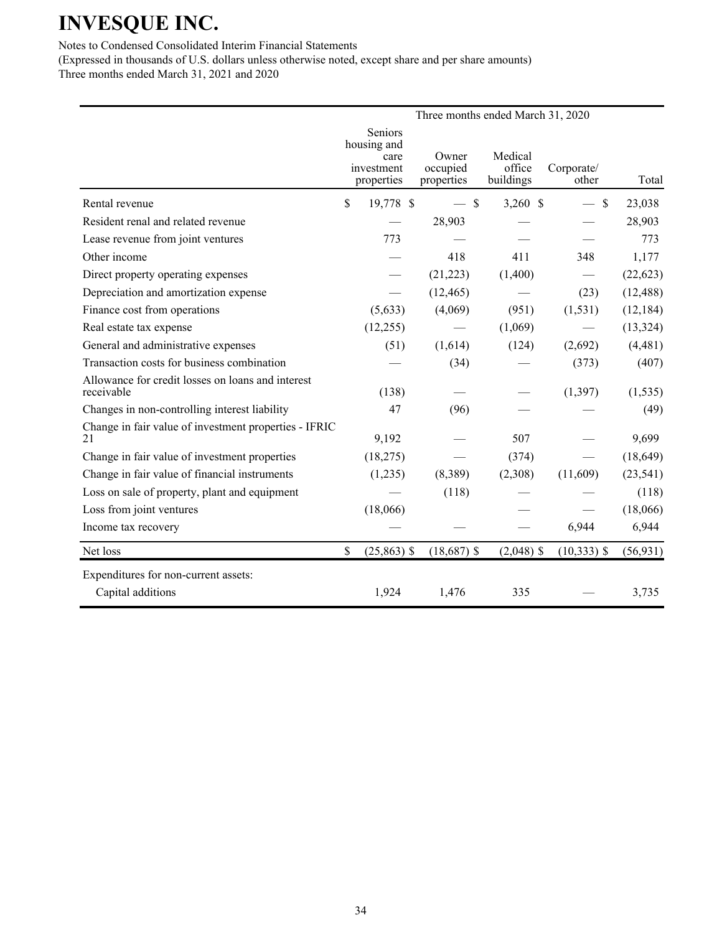Notes to Condensed Consolidated Interim Financial Statements

(Expressed in thousands of U.S. dollars unless otherwise noted, except share and per share amounts) Three months ended March 31, 2021 and 2020

|                                                                 | Three months ended March 31, 2020 |                                                            |                                 |                                |                                |           |  |  |  |  |
|-----------------------------------------------------------------|-----------------------------------|------------------------------------------------------------|---------------------------------|--------------------------------|--------------------------------|-----------|--|--|--|--|
|                                                                 |                                   | Seniors<br>housing and<br>care<br>investment<br>properties | Owner<br>occupied<br>properties | Medical<br>office<br>buildings | Corporate/<br>other            | Total     |  |  |  |  |
| Rental revenue                                                  | \$                                | 19,778 \$                                                  | $-$ \$                          | $3,260$ \$                     | \$<br>$\overline{\phantom{0}}$ | 23,038    |  |  |  |  |
| Resident renal and related revenue                              |                                   |                                                            | 28,903                          |                                |                                | 28,903    |  |  |  |  |
| Lease revenue from joint ventures                               |                                   | 773                                                        |                                 |                                |                                | 773       |  |  |  |  |
| Other income                                                    |                                   |                                                            | 418                             | 411                            | 348                            | 1,177     |  |  |  |  |
| Direct property operating expenses                              |                                   |                                                            | (21, 223)                       | (1,400)                        |                                | (22, 623) |  |  |  |  |
| Depreciation and amortization expense                           |                                   |                                                            | (12, 465)                       |                                | (23)                           | (12, 488) |  |  |  |  |
| Finance cost from operations                                    |                                   | (5,633)                                                    | (4,069)                         | (951)                          | (1, 531)                       | (12, 184) |  |  |  |  |
| Real estate tax expense                                         |                                   | (12, 255)                                                  |                                 | (1,069)                        |                                | (13, 324) |  |  |  |  |
| General and administrative expenses                             |                                   | (51)                                                       | (1,614)                         | (124)                          | (2,692)                        | (4, 481)  |  |  |  |  |
| Transaction costs for business combination                      |                                   |                                                            | (34)                            |                                | (373)                          | (407)     |  |  |  |  |
| Allowance for credit losses on loans and interest<br>receivable |                                   | (138)                                                      |                                 |                                | (1, 397)                       | (1, 535)  |  |  |  |  |
| Changes in non-controlling interest liability                   |                                   | 47                                                         | (96)                            |                                |                                | (49)      |  |  |  |  |
| Change in fair value of investment properties - IFRIC<br>21     |                                   | 9,192                                                      |                                 | 507                            |                                | 9,699     |  |  |  |  |
| Change in fair value of investment properties                   |                                   | (18,275)                                                   |                                 | (374)                          |                                | (18, 649) |  |  |  |  |
| Change in fair value of financial instruments                   |                                   | (1,235)                                                    | (8,389)                         | (2,308)                        | (11,609)                       | (23, 541) |  |  |  |  |
| Loss on sale of property, plant and equipment                   |                                   |                                                            | (118)                           |                                |                                | (118)     |  |  |  |  |
| Loss from joint ventures                                        |                                   | (18,066)                                                   |                                 |                                |                                | (18,066)  |  |  |  |  |
| Income tax recovery                                             |                                   |                                                            |                                 |                                | 6,944                          | 6,944     |  |  |  |  |
| Net loss                                                        | \$                                | $(25,863)$ \$                                              | $(18,687)$ \$                   | $(2,048)$ \$                   | $(10, 333)$ \$                 | (56, 931) |  |  |  |  |
| Expenditures for non-current assets:                            |                                   |                                                            |                                 |                                |                                |           |  |  |  |  |
| Capital additions                                               |                                   | 1,924                                                      | 1,476                           | 335                            |                                | 3,735     |  |  |  |  |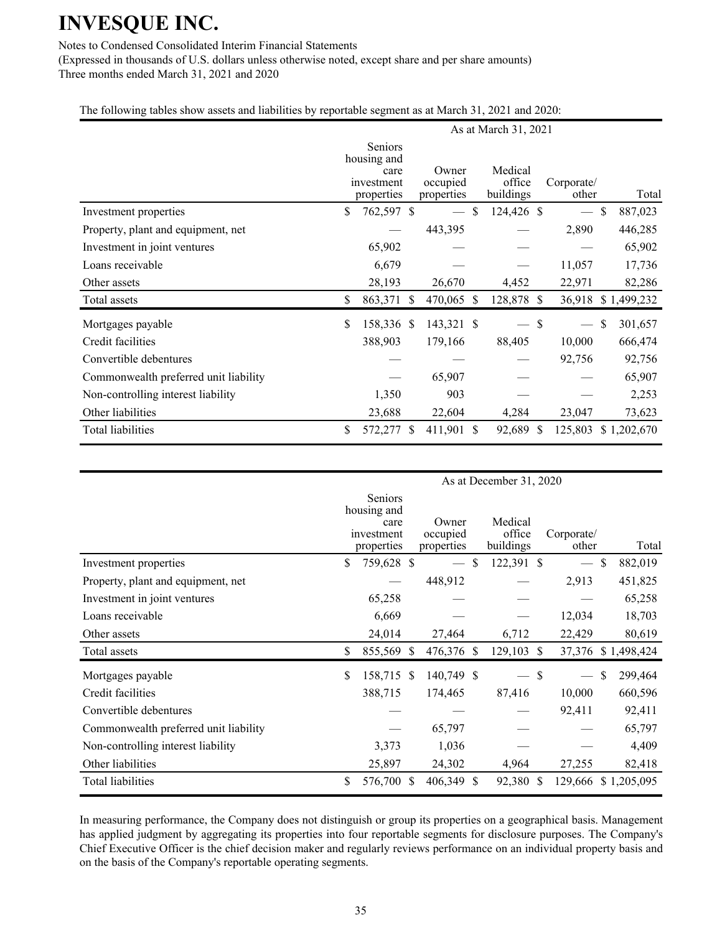Notes to Condensed Consolidated Interim Financial Statements

(Expressed in thousands of U.S. dollars unless otherwise noted, except share and per share amounts) Three months ended March 31, 2021 and 2020

The following tables show assets and liabilities by reportable segment as at March 31, 2021 and 2020:

|                                       | As at March 31, 2021 |                                                            |               |                                 |    |                                |               |                          |               |             |  |
|---------------------------------------|----------------------|------------------------------------------------------------|---------------|---------------------------------|----|--------------------------------|---------------|--------------------------|---------------|-------------|--|
|                                       |                      | Seniors<br>housing and<br>care<br>investment<br>properties |               | Owner<br>occupied<br>properties |    | Medical<br>office<br>buildings |               | Corporate/<br>other      |               | Total       |  |
| Investment properties                 | \$                   | 762,597 \$                                                 |               |                                 | \$ | 124,426 \$                     |               | $\overline{\phantom{m}}$ | $\mathcal{S}$ | 887,023     |  |
| Property, plant and equipment, net    |                      |                                                            |               | 443,395                         |    |                                |               | 2,890                    |               | 446,285     |  |
| Investment in joint ventures          |                      | 65,902                                                     |               |                                 |    |                                |               |                          |               | 65,902      |  |
| Loans receivable                      |                      | 6,679                                                      |               |                                 |    |                                |               | 11,057                   |               | 17,736      |  |
| Other assets                          |                      | 28,193                                                     |               | 26,670                          |    | 4,452                          |               | 22,971                   |               | 82,286      |  |
| Total assets                          | \$                   | 863,371                                                    | <sup>\$</sup> | 470,065 \$                      |    | 128,878 \$                     |               | 36,918                   |               | \$1,499,232 |  |
| Mortgages payable                     | \$                   | 158,336 \$                                                 |               | 143,321 \$                      |    |                                | \$            | $\overline{\phantom{m}}$ | \$            | 301,657     |  |
| Credit facilities                     |                      | 388,903                                                    |               | 179,166                         |    | 88,405                         |               | 10,000                   |               | 666,474     |  |
| Convertible debentures                |                      |                                                            |               |                                 |    |                                |               | 92,756                   |               | 92,756      |  |
| Commonwealth preferred unit liability |                      |                                                            |               | 65,907                          |    |                                |               |                          |               | 65,907      |  |
| Non-controlling interest liability    |                      | 1,350                                                      |               | 903                             |    |                                |               |                          |               | 2,253       |  |
| Other liabilities                     |                      | 23,688                                                     |               | 22,604                          |    | 4,284                          |               | 23,047                   |               | 73,623      |  |
| <b>Total liabilities</b>              | \$                   | 572,277                                                    | S             | 411,901 \$                      |    | 92,689                         | <sup>\$</sup> | 125,803                  |               | \$1,202,670 |  |

|                                       | As at December 31, 2020 |                                                            |  |                                 |   |                                |               |                     |    |                     |
|---------------------------------------|-------------------------|------------------------------------------------------------|--|---------------------------------|---|--------------------------------|---------------|---------------------|----|---------------------|
|                                       |                         | Seniors<br>housing and<br>care<br>investment<br>properties |  | Owner<br>occupied<br>properties |   | Medical<br>office<br>buildings |               | Corporate/<br>other |    | Total               |
| Investment properties                 | \$                      | 759,628 \$                                                 |  |                                 | S | 122,391 \$                     |               |                     | \$ | 882,019             |
| Property, plant and equipment, net    |                         |                                                            |  | 448,912                         |   |                                |               | 2,913               |    | 451,825             |
| Investment in joint ventures          |                         | 65,258                                                     |  |                                 |   |                                |               |                     |    | 65,258              |
| Loans receivable                      |                         | 6,669                                                      |  |                                 |   |                                |               | 12,034              |    | 18,703              |
| Other assets                          |                         | 24,014                                                     |  | 27,464                          |   | 6,712                          |               | 22,429              |    | 80,619              |
| Total assets                          | \$                      | 855,569 \$                                                 |  | 476,376 \$                      |   | 129,103                        | <sup>\$</sup> |                     |    | 37,376 \$1,498,424  |
| Mortgages payable                     | \$                      | 158,715 \$                                                 |  | 140,749 \$                      |   |                                | S             |                     | \$ | 299,464             |
| Credit facilities                     |                         | 388,715                                                    |  | 174,465                         |   | 87,416                         |               | 10,000              |    | 660,596             |
| Convertible debentures                |                         |                                                            |  |                                 |   |                                |               | 92,411              |    | 92,411              |
| Commonwealth preferred unit liability |                         |                                                            |  | 65,797                          |   |                                |               |                     |    | 65,797              |
| Non-controlling interest liability    |                         | 3,373                                                      |  | 1,036                           |   |                                |               |                     |    | 4,409               |
| Other liabilities                     |                         | 25,897                                                     |  | 24,302                          |   | 4,964                          |               | 27,255              |    | 82,418              |
| <b>Total liabilities</b>              | \$                      | 576,700 \$                                                 |  | 406,349 \$                      |   | 92,380 \$                      |               |                     |    | 129,666 \$1,205,095 |

In measuring performance, the Company does not distinguish or group its properties on a geographical basis. Management has applied judgment by aggregating its properties into four reportable segments for disclosure purposes. The Company's Chief Executive Officer is the chief decision maker and regularly reviews performance on an individual property basis and on the basis of the Company's reportable operating segments.